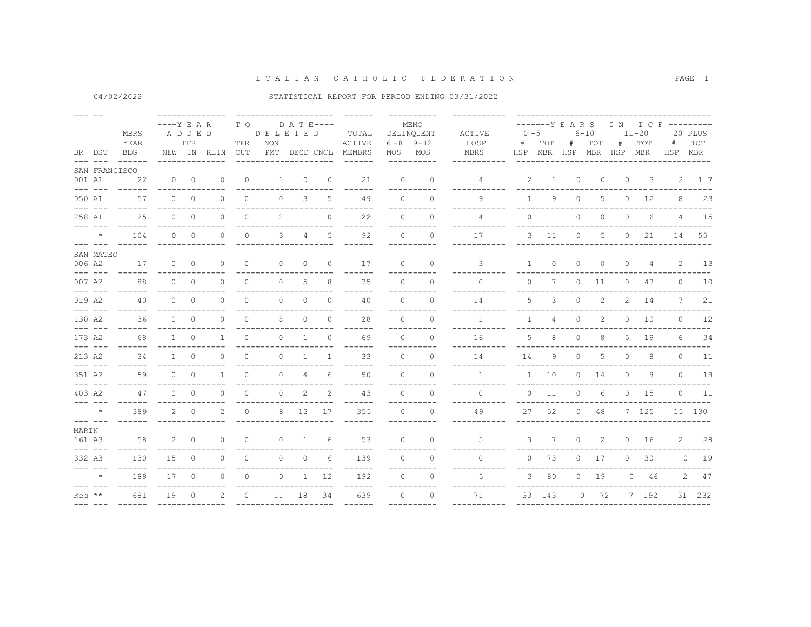04/02/2022

|               | BR DST                                                                                                                                                                                                                                                                                                                                                                                       | MBRS<br>YEAR<br><b>BEG</b> | $---Y E A R$ | ADDED<br>TFR   | NEW IN REIN  | T O<br>TFR<br>OUT | D E L E T E D<br>NON<br>PMT DECD CNCL | D A T E----    |              | TOTAL<br>ACTIVE<br>MEMBRS | MOS      | MEMO<br>DELINQUENT<br>$6 - 8$ 9-12<br>MOS | ACTIVE<br>HOSP<br>MBRS | $0 - 5$<br>#<br>HSP | TOT          | -------Y E A R S<br># | $6 - 10$<br>TOT<br>MBR HSP MBR HSP MBR | I N<br>$\#$    | $11 - 20$<br>TOT | I C F ---------<br>#<br>HSP MBR | 20 PLUS<br>TOT |
|---------------|----------------------------------------------------------------------------------------------------------------------------------------------------------------------------------------------------------------------------------------------------------------------------------------------------------------------------------------------------------------------------------------------|----------------------------|--------------|----------------|--------------|-------------------|---------------------------------------|----------------|--------------|---------------------------|----------|-------------------------------------------|------------------------|---------------------|--------------|-----------------------|----------------------------------------|----------------|------------------|---------------------------------|----------------|
| $--- -$       |                                                                                                                                                                                                                                                                                                                                                                                              |                            |              |                |              |                   |                                       |                |              |                           |          |                                           |                        |                     |              |                       |                                        |                |                  |                                 |                |
| 001 A1        |                                                                                                                                                                                                                                                                                                                                                                                              | SAN FRANCISCO<br>22        | $\circ$      | $\overline{0}$ | 0            | $\circ$           | $\mathbf{1}$                          | $\circ$        | $\circ$      | 21                        | $\circ$  | $\circ$                                   | 4                      | 2                   | $\mathbf{1}$ | 0                     | $\circ$                                | $\circ$        | -3               |                                 | 2 1 7          |
|               | $\frac{1}{2}$                                                                                                                                                                                                                                                                                                                                                                                |                            |              |                |              |                   |                                       |                |              |                           |          |                                           |                        |                     |              |                       |                                        |                |                  |                                 |                |
| 050 A1        | $\begin{array}{cccccc} - & - & - & - & - \end{array}$                                                                                                                                                                                                                                                                                                                                        | 57                         | $\Omega$     | $\circ$        | $\Omega$     | $\circ$           | $\circ$                               | 3              | 5            | 49                        | $\Omega$ | $\Omega$                                  | $\mathsf{Q}$           | $\mathbf{1}$        | 9            | $\circ$               | 5                                      | $\circ$        | 12               | 8                               | 23             |
| 258 A1        | $- - - - - - -$                                                                                                                                                                                                                                                                                                                                                                              | 25                         | $\circ$      | $\circ$        | $\circ$      | $\circ$           | 2                                     | $\mathbf{1}$   | $\mathbf{0}$ | 22<br>$- - - -$           | $\circ$  | $\circ$                                   | 4                      | $\circ$             | 1            | 0                     | $\circ$                                | $\circ$        | 6                | $\overline{4}$                  | 15             |
|               | $\star$<br>$\begin{array}{cccccc} - & - & - & - & - \end{array}$                                                                                                                                                                                                                                                                                                                             | 104<br>------              | $\circ$      | $\overline{0}$ | $\circ$      | $\circ$           | 3                                     | $\overline{4}$ | 5            | 92                        | $\Omega$ | $\circ$                                   | 17                     |                     | $3 \quad 11$ | $\circ$               | 5                                      | $\circ$        | 21               |                                 | 14 55          |
|               | SAN MATEO                                                                                                                                                                                                                                                                                                                                                                                    |                            |              |                |              |                   |                                       |                |              |                           |          |                                           |                        |                     |              |                       |                                        |                |                  |                                 |                |
| 006 A2        | $\begin{array}{cccccc} - & - & - & - & - \end{array}$                                                                                                                                                                                                                                                                                                                                        | 17                         | $\circ$      | $\circ$        | $\circ$      | $\circ$           | $\circ$                               | $\circ$        | $\circ$      | 17                        | $\circ$  | $\circ$                                   | 3                      | $\mathbf{1}$        | $\circ$      | $\circ$               | $\circ$                                | $\circ$        | 4                | 2                               | 13             |
| 007 A2        | $\frac{1}{2}$                                                                                                                                                                                                                                                                                                                                                                                | 88                         | $\Omega$     | $\circ$        | $\Omega$     | $\circ$           | 0                                     | 5              | 8            | 75                        | $\Omega$ | $\Omega$                                  | $\circ$                | $\circ$             | 7            | 0                     | 11                                     | $\circ$        | 47               | $\circ$                         | 10             |
| 019 A2        |                                                                                                                                                                                                                                                                                                                                                                                              | 40                         | $\Omega$     | $\circ$        | $\circ$      | $\circ$           | $\circ$                               | $\circ$        | $\circ$      | 40                        | $\Omega$ | $\Omega$                                  | 14                     | 5                   | 3            | $\circ$               | 2                                      | $\overline{2}$ | 14               | $7^{\circ}$                     | 21             |
| 130 A2        |                                                                                                                                                                                                                                                                                                                                                                                              | 36                         | $\Omega$     | $\circ$        | $\circ$      | 0                 | 8                                     | 0              | $\Omega$     | ------<br>28              | $\Omega$ | $\Omega$                                  | $\mathbf{1}$           | $\mathbf{1}$        | 4            | 0                     | $\overline{2}$                         | $\circ$        | 10               | $\circ$                         | 12             |
| 173 A2        |                                                                                                                                                                                                                                                                                                                                                                                              | 68                         | $\mathbf{1}$ | $\Omega$       | $\mathbf{1}$ | $\circ$           | $\Omega$                              | $\mathbf{1}$   | $\Omega$     | ------<br>69              | $\Omega$ | ----------<br>$\Omega$                    | ------<br>16           | 5                   | 8            | $\Omega$              | 8                                      | 5              | 19               | 6                               | 34             |
| 213 A2        | $\frac{1}{2} \frac{1}{2} \frac{1}{2} \frac{1}{2} \frac{1}{2} \frac{1}{2} \frac{1}{2} \frac{1}{2} \frac{1}{2} \frac{1}{2} \frac{1}{2} \frac{1}{2} \frac{1}{2} \frac{1}{2} \frac{1}{2} \frac{1}{2} \frac{1}{2} \frac{1}{2} \frac{1}{2} \frac{1}{2} \frac{1}{2} \frac{1}{2} \frac{1}{2} \frac{1}{2} \frac{1}{2} \frac{1}{2} \frac{1}{2} \frac{1}{2} \frac{1}{2} \frac{1}{2} \frac{1}{2} \frac{$ | 34                         | $\mathbf{1}$ | $\Omega$       | $\Omega$     | $\mathbf{0}$      | 0                                     | $\mathbf{1}$   | $\mathbf{1}$ | 33                        | $\Omega$ | $\Omega$                                  | 14                     | 14                  | 9            | 0                     | 5                                      | $\circ$        | 8                | $\Omega$                        | 11             |
| 351 A2        | $- - - - - - -$                                                                                                                                                                                                                                                                                                                                                                              | 59<br>------               | $\Omega$     | $\circ$        | $\mathbf{1}$ | $\circ$           | $\circ$                               | $\overline{4}$ | 6            | 50                        | $\Omega$ | $\Omega$<br>----------                    | $\mathbf{1}$           | $\mathbf{1}$        | 10           | $\circ$               | 14                                     | $\circ$        | 8                | $\overline{0}$                  | 18             |
| 403 A2        | $\begin{array}{cccccc} - & - & - & - & - \end{array}$                                                                                                                                                                                                                                                                                                                                        | 47                         | $\Omega$     | $\circ$        | $\circ$      | $\circ$           | 0                                     | 2              | 2            | ------<br>43              | $\Omega$ | $\cap$<br>----------                      | $\Omega$<br>---------- | $\circ$             | 11           | 0                     | 6                                      |                | $0 \t 15$        |                                 | $0$ 11         |
|               | $\star$<br>$\begin{array}{cccccc} - & - & - & - & - \end{array}$                                                                                                                                                                                                                                                                                                                             | 389                        | 2            | $\circ$        | 2            | $\circ$           | 8                                     | 13             | 17           | ------<br>355             | $\Omega$ | $\Omega$                                  | 49                     | 27                  | 52           |                       | $0$ 48                                 |                | 7 125            |                                 | 15 130         |
| MARIN         |                                                                                                                                                                                                                                                                                                                                                                                              |                            |              |                |              |                   |                                       |                |              |                           |          |                                           |                        |                     |              |                       |                                        |                |                  |                                 |                |
| 161 A3        | $\frac{1}{2}$                                                                                                                                                                                                                                                                                                                                                                                | 58                         | 2            | $\overline{0}$ | $\Omega$     | $\Omega$          | $\Omega$                              | $\overline{1}$ | 6            | 53                        | $\Omega$ | $\Omega$                                  | 5                      |                     | 3 7          |                       | 0<br>2                                 | $\circ$        | 16               |                                 | 2 28           |
| 332 A3        |                                                                                                                                                                                                                                                                                                                                                                                              | 130                        | 15           | $\circ$        | 0            | $\circ$           | $\circ$                               | $\circ$        | 6            | 139<br>------             | $\circ$  | $\circ$<br>----------                     | $\circ$                |                     | $0$ 73       |                       | $0 \t 17$                              | $\circ$        | 30               |                                 | $0$ 19         |
|               | $\star$                                                                                                                                                                                                                                                                                                                                                                                      | 188<br>------              | 17           | $\overline{0}$ | $\circ$      | $\circ$           | $\circ$                               | $\mathbf{1}$   | 12           | 192<br>------             | $\Omega$ | $\Omega$<br>----------                    | 5<br>--------          |                     | 380          |                       | $0$ 19                                 |                | $0\quad 46$      |                                 | 2 47           |
| $Re\alpha$ ** |                                                                                                                                                                                                                                                                                                                                                                                              | 681                        | 19           | 0              | 2            | $\circ$           | 11                                    | 18             | 34           | 639                       | $\Omega$ | $\Omega$                                  | 71                     |                     | 33 143       |                       | $0$ 72                                 |                | 7 192            |                                 | 31 232         |
|               |                                                                                                                                                                                                                                                                                                                                                                                              |                            |              |                |              |                   |                                       |                |              |                           |          |                                           |                        |                     |              |                       |                                        |                |                  |                                 |                |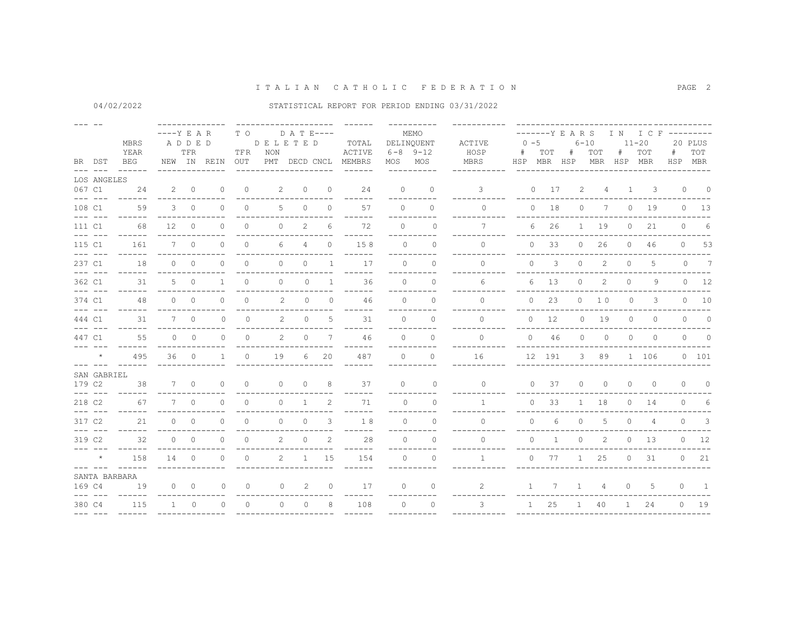| BR DST<br>$\frac{1}{2} \frac{1}{2} \frac{1}{2} \frac{1}{2} \frac{1}{2} \frac{1}{2} \frac{1}{2} \frac{1}{2} \frac{1}{2} \frac{1}{2} \frac{1}{2} \frac{1}{2} \frac{1}{2} \frac{1}{2} \frac{1}{2} \frac{1}{2} \frac{1}{2} \frac{1}{2} \frac{1}{2} \frac{1}{2} \frac{1}{2} \frac{1}{2} \frac{1}{2} \frac{1}{2} \frac{1}{2} \frac{1}{2} \frac{1}{2} \frac{1}{2} \frac{1}{2} \frac{1}{2} \frac{1}{2} \frac{$                                                                               |                                                                          | MBRS<br>YEAR<br>BEG    | $---Y$ E A R    | ADDED<br>TFR | NEW IN REIN    | T O<br>TFR<br>OUT | <b>DELETED</b><br>NON | D A T E----<br>PMT DECD CNCL |                | TOTAL<br>ACTIVE<br>MEMBRS | MOS MOS        | MEMO<br>DELINOUENT<br>$6 - 8$ 9-12 | ACTIVE<br>HOSP<br>MBRS | $0 - 5$<br>#   | TOT<br>HSP MBR HSP   | -------Y E A R S<br># | $6 - 10$<br>TOT<br>MBR HSP MBR | #              | IN ICF ---------<br>$11 - 20$<br>TOT | #<br>HSP MBR | 20 PLUS<br>TOT           |
|--------------------------------------------------------------------------------------------------------------------------------------------------------------------------------------------------------------------------------------------------------------------------------------------------------------------------------------------------------------------------------------------------------------------------------------------------------------------------------------|--------------------------------------------------------------------------|------------------------|-----------------|--------------|----------------|-------------------|-----------------------|------------------------------|----------------|---------------------------|----------------|------------------------------------|------------------------|----------------|----------------------|-----------------------|--------------------------------|----------------|--------------------------------------|--------------|--------------------------|
|                                                                                                                                                                                                                                                                                                                                                                                                                                                                                      | LOS ANGELES                                                              |                        |                 |              |                |                   |                       |                              |                |                           |                |                                    |                        |                |                      |                       |                                |                |                                      |              |                          |
| 067 C1                                                                                                                                                                                                                                                                                                                                                                                                                                                                               |                                                                          | 24                     |                 | $2 \qquad 0$ | 0              | $\circ$           | 2                     | $\circ$                      | $\circ$        | 24                        | $\circ$        | $\Omega$                           | 3                      |                | $0 \t 17$            | 2                     | 4                              | $\mathbf{1}$   | 3                                    |              | $0\qquad 0$              |
| 108 C1<br>$\frac{1}{2}$                                                                                                                                                                                                                                                                                                                                                                                                                                                              |                                                                          | 59                     |                 | $3 \t 0$     | $\Omega$       | $\circ$           | 5                     | $\circ$                      | $\Omega$       | 57                        | $\Omega$       | $\Omega$                           | $\Omega$               |                | $0$ 18               | $\circ$               | 7                              | $\circ$        | 19                                   |              | $0 \t 13$                |
| 111 C1<br>$\frac{1}{2} \left( \frac{1}{2} \right) \left( \frac{1}{2} \right) \left( \frac{1}{2} \right) \left( \frac{1}{2} \right) \left( \frac{1}{2} \right) \left( \frac{1}{2} \right) \left( \frac{1}{2} \right) \left( \frac{1}{2} \right) \left( \frac{1}{2} \right) \left( \frac{1}{2} \right) \left( \frac{1}{2} \right) \left( \frac{1}{2} \right) \left( \frac{1}{2} \right) \left( \frac{1}{2} \right) \left( \frac{1}{2} \right) \left( \frac{1}{2} \right) \left( \frac$ |                                                                          | 68<br>------           | 12 <sup>°</sup> | $\bigcirc$   | $\Omega$       | $\Omega$          | $\Omega$              | 2                            | 6              | 72<br>------              | $\Omega$       | $\Omega$<br>-----------            | 7                      |                | 6<br>26              | $\mathbf{1}$          | 19                             | $\circ$        | 21                                   | $\Omega$     | 6                        |
| 115 C1                                                                                                                                                                                                                                                                                                                                                                                                                                                                               | $- - - - - - -$                                                          | 161<br>$- - - - - - -$ |                 | $7 \quad 0$  | $\Omega$       | $\circ$           | 6                     | 4                            | $\mathbf{0}$   | 158<br>------             | $\Omega$       | $\Omega$<br>----------             | $\Omega$<br>--------   |                | 33<br>$\Omega$       |                       | $0\qquad 26$                   |                | $0\quad 46$                          |              | $0$ 53                   |
| 237 C1                                                                                                                                                                                                                                                                                                                                                                                                                                                                               |                                                                          | 18<br>$- - - - - -$    |                 | $0 \qquad 0$ | $\Omega$       | $\Omega$          | $\Omega$              | $\Omega$                     | $\overline{1}$ | 17<br>------              | $\Omega$       | $\Omega$<br>----------             | $\Omega$               | $\Omega$       | 3                    | $\circ$               | 2                              | $\Omega$       | 5                                    | $\circ$      | 7                        |
| 362 C1                                                                                                                                                                                                                                                                                                                                                                                                                                                                               | $\begin{array}{cccccc} - & - & - & - & - \\ & - & - & - & - \end{array}$ | 31                     |                 | $5 \qquad 0$ | $\mathbf{1}$   | $\circ$           | $\circ$               | $\circ$                      | $\overline{1}$ | 36                        | $\bigcap$      | $\Omega$                           | 6                      |                | 13<br>6              | $\circ$               | 2                              | $\circ$        | 9                                    |              | $0 \t 12$                |
| 374 C1<br>$\frac{1}{2}$                                                                                                                                                                                                                                                                                                                                                                                                                                                              |                                                                          | 48                     |                 | $0 \quad 0$  | $\Omega$       | $\Omega$          | 2                     | $\Omega$                     | $\Omega$       | 46<br>----                | $\Omega$       | $\Omega$<br>----------             | $\Omega$               |                | 23<br>$\Omega$       |                       | $0 \t 10$                      | $\Omega$       | 3                                    |              | $0\qquad10$              |
| 444 C1                                                                                                                                                                                                                                                                                                                                                                                                                                                                               | $- - - - - - -$                                                          | 31<br>$- - - - - - -$  |                 | $7\qquad0$   | 0              | $\circ$           | 2                     | $\circ$                      | 5              | 31<br>$- - - - -$         | $\cap$         | $\circ$<br>----------              | $\Omega$<br>---------  |                | $0\qquad 12$         |                       | $0$ 19                         | $\circ$        | 0                                    | $\circ$      | $\overline{0}$           |
| 447 C1<br>$- - - - - - -$                                                                                                                                                                                                                                                                                                                                                                                                                                                            |                                                                          | 55<br>------           |                 | $0 \qquad 0$ | $\Omega$       | $\Omega$          | 2                     | $\Omega$                     | 7              | 46<br>------              | $\Omega$       | $\Omega$<br>----------             | $\cap$<br>----------   |                | $0 \t 46$            | $\Omega$              | $\circ$                        | $\circ$        | $\circ$                              |              | $0 \qquad 0$             |
|                                                                                                                                                                                                                                                                                                                                                                                                                                                                                      | $\star$                                                                  | 495                    |                 | 360          | $\overline{1}$ | $\Omega$          | 19                    | 6                            | 20             | 487                       | $\Omega$       | $\Omega$                           | 16                     |                | 12 191               |                       | 3 89                           |                | 1 106                                |              | 0 101                    |
| 179 C2                                                                                                                                                                                                                                                                                                                                                                                                                                                                               | SAN GABRIEL                                                              | 38                     |                 | 7 0          | $\circ$        | $\circ$           | $\circ$               | $\circ$                      | 8              | 37                        | $\circ$        | $\circ$                            | $\circ$                |                | $\overline{0}$<br>37 | $\circ$               | $\circ$                        | $\overline{0}$ | $\circ$                              | $\circ$      | $\overline{\phantom{0}}$ |
| 218 C2                                                                                                                                                                                                                                                                                                                                                                                                                                                                               |                                                                          | 67                     |                 | $7 \quad 0$  | $\Omega$       | $\circ$           | $\circ$               | $\mathbf{1}$                 | 2              | 71                        | $\bigcirc$     | ----------<br>$\Omega$             | $\mathbf{1}$           |                | 33<br>0              |                       | 1 18                           |                | $0$ 14                               | $\circ$      | 6                        |
| $---$<br>317 C2                                                                                                                                                                                                                                                                                                                                                                                                                                                                      | $\frac{1}{2}$                                                            | 21                     |                 | $0 \quad 0$  | $\Omega$       | $\Omega$          | $\Omega$              | $\Omega$                     | 3              | ------<br>18              | $\bigcirc$     | ----------<br>$\Omega$             | $\Omega$               | $\Omega$       | $6\overline{6}$      | $\circ$               | 5                              | $\Omega$       | $\overline{4}$                       |              | $0 \quad 3$              |
| 319 C2                                                                                                                                                                                                                                                                                                                                                                                                                                                                               | $\frac{1}{2}$                                                            | $- - - - - -$<br>32    |                 | $0\qquad 0$  | $\Omega$       | $\circ$           | $\overline{2}$        | $\circ$                      | 2              | ----<br>28                | $\Omega$       | $\circ$                            | $\circ$                | $\circ$        | $\mathbf{1}$         | $\circ$               | 2                              | $\circ$        | 13                                   |              | $0 \t 12$                |
|                                                                                                                                                                                                                                                                                                                                                                                                                                                                                      | $\star$                                                                  | 158                    | 14 0            |              | $\circ$        | $\circ$           | $\overline{2}$        | $\mathbf{1}$                 | 15             | 154                       | $\overline{0}$ | $\circ$                            | $\mathbf{1}$           | $\circ$        | 77                   | $\mathbf{1}$          | 25                             |                | $0$ 31                               |              | $0$ 21                   |
| $\frac{1}{2} \frac{1}{2} \frac{1}{2} \frac{1}{2} \frac{1}{2} \frac{1}{2} \frac{1}{2} \frac{1}{2} \frac{1}{2} \frac{1}{2} \frac{1}{2} \frac{1}{2} \frac{1}{2} \frac{1}{2} \frac{1}{2} \frac{1}{2} \frac{1}{2} \frac{1}{2} \frac{1}{2} \frac{1}{2} \frac{1}{2} \frac{1}{2} \frac{1}{2} \frac{1}{2} \frac{1}{2} \frac{1}{2} \frac{1}{2} \frac{1}{2} \frac{1}{2} \frac{1}{2} \frac{1}{2} \frac{$<br>169 C4                                                                               | $\frac{1}{2}$                                                            | SANTA BARBARA<br>19    |                 | $0 \quad 0$  | $\Omega$       | $\Omega$          | $\Omega$              | 2                            | $\Omega$       | 17                        | $\Omega$       | $\Omega$<br>---------              | $\overline{2}$         | $\overline{1}$ | 7                    | $\mathbf{1}$          | 4                              | $\Omega$       | -5                                   | $\Omega$     | $\blacksquare$           |
| 380 C4                                                                                                                                                                                                                                                                                                                                                                                                                                                                               |                                                                          | 115                    | $1 \quad$       | $\circ$      | $\Omega$       | $\circ$           | $\Omega$              | $\circ$                      | 8              | 108                       | $\Omega$       | $\Omega$                           | 3                      |                | 25<br>1              | $\mathbf{1}$          | 40                             | $\mathbf{1}$   | 24                                   | $\circ$      | 19                       |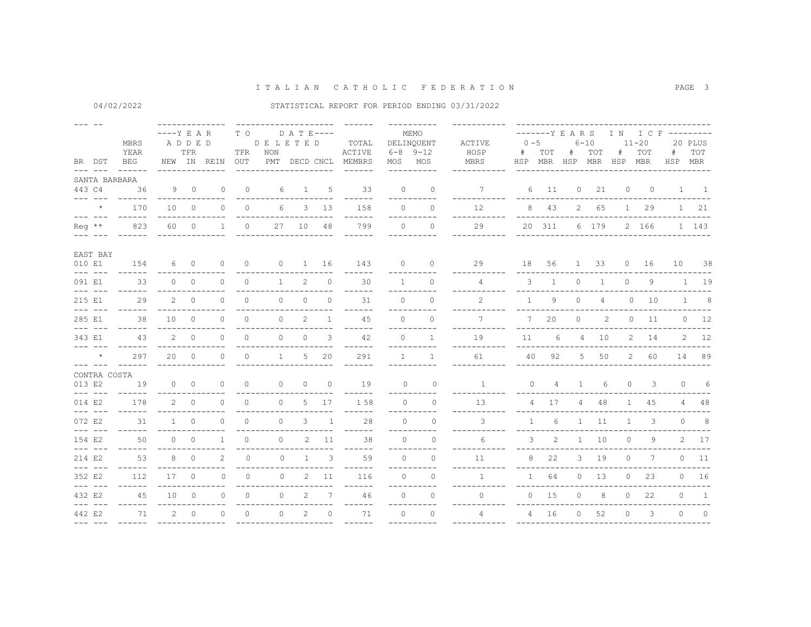# 04/02/2022 STATISTICAL REPORT FOR PERIOD ENDING 03/31/2022

| <b>MBRS</b><br>YEAR<br>BR DST<br>BEG<br>$\frac{1}{2}$<br>SANTA BARBARA |                                                                                                                                                                                                                                                                                                                                                                                                                                                                                                     |                      | $---Y$ E A R<br>ADDED | TFR                      | NEW IN REIN    | T O<br>TFR<br>OUT | DE LETED<br>NON | $D$ A T E ----    |          | TOTAL<br>ACTIVE<br>PMT DECD CNCL MEMBRS |                | MEMO<br>DELINQUENT<br>$6 - 8$ $9 - 12$<br>MOS MOS<br>__________ | <b>ACTIVE</b><br>HOSP<br>MBRS | $0 - 5$<br>#   | TOT            | -------Y E A R S<br>$+$ | $6 - 10$<br>TOT<br>HSP MBR HSP MBR HSP MBR | #            | $11 - 20$<br>TOT | IN ICF ---------<br>#<br>HSP MBR | 20 PLUS<br>TOT |
|------------------------------------------------------------------------|-----------------------------------------------------------------------------------------------------------------------------------------------------------------------------------------------------------------------------------------------------------------------------------------------------------------------------------------------------------------------------------------------------------------------------------------------------------------------------------------------------|----------------------|-----------------------|--------------------------|----------------|-------------------|-----------------|-------------------|----------|-----------------------------------------|----------------|-----------------------------------------------------------------|-------------------------------|----------------|----------------|-------------------------|--------------------------------------------|--------------|------------------|----------------------------------|----------------|
|                                                                        | 443 C4                                                                                                                                                                                                                                                                                                                                                                                                                                                                                              | 36                   | 9                     | $\overline{\phantom{0}}$ | $\circ$        | $\circ$           | 6               | $\mathbf{1}$      | 5        | 33                                      | $\Omega$       | $\circ$                                                         | 7                             | 6              | 11             | $\circ$                 | 21                                         | $\circ$      | $\circ$          |                                  | $1 \quad 1$    |
|                                                                        | $\frac{1}{2}$<br>$\star$                                                                                                                                                                                                                                                                                                                                                                                                                                                                            | 170                  | 10 <sup>°</sup>       | $\overline{0}$           | $\Omega$       | $\circ$           | 6               | 3                 | 13       | 158                                     | $\Omega$       | $\Omega$                                                        | 12                            |                | 8 43           |                         | 2 65                                       | $1 -$        | 29               |                                  | $1 \quad 21$   |
|                                                                        | $\frac{1}{2}$                                                                                                                                                                                                                                                                                                                                                                                                                                                                                       |                      |                       |                          |                |                   |                 |                   |          | ------                                  |                |                                                                 |                               |                |                |                         |                                            |              |                  |                                  |                |
|                                                                        | $\text{Re}q$ **                                                                                                                                                                                                                                                                                                                                                                                                                                                                                     | 823<br>$- - - - - -$ | 60 0                  |                          | $\mathbf{1}$   | $\circ$           | 27              | 10                | 48       | 799<br>$- - - - - -$                    | $\cap$         | $\Omega$<br>-----------                                         | 29<br>--------                |                | 20 311         |                         | 6 179                                      |              | 2 166            |                                  | 1 143          |
|                                                                        | EAST BAY                                                                                                                                                                                                                                                                                                                                                                                                                                                                                            |                      |                       |                          |                |                   |                 |                   |          |                                         |                |                                                                 |                               |                |                |                         |                                            |              |                  |                                  |                |
|                                                                        | 010 E1<br>$\frac{1}{2} \frac{1}{2} \frac{1}{2} \frac{1}{2} \frac{1}{2} \frac{1}{2} \frac{1}{2} \frac{1}{2} \frac{1}{2} \frac{1}{2} \frac{1}{2} \frac{1}{2} \frac{1}{2} \frac{1}{2} \frac{1}{2} \frac{1}{2} \frac{1}{2} \frac{1}{2} \frac{1}{2} \frac{1}{2} \frac{1}{2} \frac{1}{2} \frac{1}{2} \frac{1}{2} \frac{1}{2} \frac{1}{2} \frac{1}{2} \frac{1}{2} \frac{1}{2} \frac{1}{2} \frac{1}{2} \frac{$                                                                                              | 154                  | 6                     | $\overline{0}$           | $\circ$        | 0                 |                 | $0 \qquad \qquad$ | 1 16     | 143                                     | $\circ$        | $\circ$                                                         | 29                            | 18             | 56             |                         | $1 \quad 33$                               |              | $0\quad 16$      |                                  | 10 38          |
|                                                                        | 091 E1                                                                                                                                                                                                                                                                                                                                                                                                                                                                                              | 33<br>------         |                       | $0\qquad 0$              | $\Omega$       | $\circ$           | $\mathbf{1}$    | 2                 | $\circ$  | 30<br>------                            | $\overline{1}$ | $\Omega$<br>----------                                          | $\overline{4}$<br>--------    | $\mathbf{3}$   | <sup>1</sup>   | $\circ$                 | $\mathbf{1}$                               | $\circ$      | 9                |                                  | $1 \quad 19$   |
|                                                                        | 215 E1<br>$\frac{1}{2} \frac{1}{2} \frac{1}{2} \frac{1}{2} \frac{1}{2} \frac{1}{2} \frac{1}{2} \frac{1}{2} \frac{1}{2} \frac{1}{2} \frac{1}{2} \frac{1}{2} \frac{1}{2} \frac{1}{2} \frac{1}{2} \frac{1}{2} \frac{1}{2} \frac{1}{2} \frac{1}{2} \frac{1}{2} \frac{1}{2} \frac{1}{2} \frac{1}{2} \frac{1}{2} \frac{1}{2} \frac{1}{2} \frac{1}{2} \frac{1}{2} \frac{1}{2} \frac{1}{2} \frac{1}{2} \frac{$                                                                                              | 2.9<br>------        |                       | $2 \quad 0$              | $\Omega$       | $\Omega$          | $\circ$         | $\Omega$          | $\Omega$ | 31<br>------                            | $\Omega$       | $\Omega$<br>----------                                          | $\mathcal{L}$<br>--------     | $\overline{1}$ | 9              | $\circ$                 | $\overline{4}$                             |              | $0\qquad 10$     |                                  | $1 \qquad 8$   |
|                                                                        | 285 E1<br>$\frac{1}{2}$                                                                                                                                                                                                                                                                                                                                                                                                                                                                             | 38<br>------         | 10                    | $\overline{0}$           | $\Omega$       | $\circ$           | $\circ$         | 2                 | 1        | 45<br>$- - -$                           | $\bigcap$      | $\Omega$                                                        | 7                             | $7^{\circ}$    | 20             | $\circ$                 | $\overline{c}$                             | $\circ$      | 11               |                                  | $0 \t 12$      |
|                                                                        | 343 E1<br>$\begin{tabular}{ll} \multicolumn{2}{c}{\multicolumn{2}{c}{\multicolumn{2}{c}{\multicolumn{2}{c}{\multicolumn{2}{c}{\multicolumn{2}{c}{\multicolumn{2}{c}{\multicolumn{2}{c}{\multicolumn{2}{c}{\multicolumn{2}{c}{\multicolumn{2}{c}{\multicolumn{2}{c}{\multicolumn{2}{c}{\textbf{1}}}}}}}}}} \quad \multicolumn{2}{c}{ \begin{tabular}{l} \multicolumn{2}{c}{\multicolumn{2}{c}{\multicolumn{2}{c}{\textbf{1}}}} \multicolumn{2}{c}{\multicolumn{2}{c}{\textbf{1}}}} \multicolumn{2}{$ | 43                   | 2                     | $\Omega$                 | $\Omega$       | $\Omega$          | $\circ$         | $\Omega$          | 3        | 42<br>-----                             | $\Omega$       | $\mathbf{1}$                                                    | 19                            | 11             | 6              | $\overline{4}$          | 10                                         | $2^{\circ}$  | 14               |                                  | $2 \t12$       |
|                                                                        | $\star$<br>$\begin{array}{cccccc} - & - & - & - & - \end{array}$                                                                                                                                                                                                                                                                                                                                                                                                                                    | 297<br>$- - - - - -$ | 20                    | $\overline{0}$           | $\circ$        | $\circ$           | $\mathbf{1}$    | 5                 | 20       | 291<br>------                           | $\mathbf{1}$   | $\mathbf{1}$<br>----------                                      | 61                            | 40             | 92             | 5                       | 50                                         |              | 2 60             |                                  | 14 89          |
|                                                                        | CONTRA COSTA                                                                                                                                                                                                                                                                                                                                                                                                                                                                                        |                      |                       |                          |                |                   |                 |                   |          |                                         |                |                                                                 |                               |                |                |                         |                                            |              |                  |                                  |                |
|                                                                        | 013 E2<br>$\frac{1}{2}$                                                                                                                                                                                                                                                                                                                                                                                                                                                                             | 19                   | $\circ$               | $\overline{0}$           | $\circ$        | $\circ$           | $\circ$         | $\Omega$          | $\circ$  | 19                                      | $\Omega$       | $\circ$                                                         | $\mathbf{1}$                  | $\circ$        | $\overline{4}$ | $\mathbf{1}$            | 6                                          | $\circ$      | 3                |                                  | $0\qquad 6$    |
|                                                                        | 014 E2<br>$\frac{1}{2}$                                                                                                                                                                                                                                                                                                                                                                                                                                                                             | 178                  | $\mathbf{2}$          | $\overline{0}$           | $\Omega$       | $\circ$           | $\Omega$        | 5                 | 17       | 1 58                                    | $\Omega$       | $\Omega$                                                        | 13                            |                | 4 17           | $4 -$                   | 48                                         | $\mathbf{1}$ | 45               |                                  | $4 \t 48$      |
|                                                                        | 072 E2                                                                                                                                                                                                                                                                                                                                                                                                                                                                                              | 31<br>$- - - - - -$  | $1 -$                 | $\circ$                  | $\circ$        | $\circ$           | $\circ$         | 3                 | 1        | 28<br>------                            | $\Omega$       | $\circ$<br>----------                                           | 3<br>--------                 | $\mathbf{1}$   | 6              |                         | $1 \quad 11$                               | $\mathbf{1}$ | 3                | $\circ$                          | 8 <sup>8</sup> |
|                                                                        | 154 E2<br>$\frac{1}{2}$                                                                                                                                                                                                                                                                                                                                                                                                                                                                             | 50<br>------         |                       | $0 \quad 0$              | $\mathbf{1}$   | $\circ$           | $\circ$         | 2                 | 11       | 38<br>------                            | $\Omega$       | $\Omega$<br>-----------                                         | 6                             | 3              | 2              |                         | $1 \quad 10$                               | $\bigcirc$   | 9                |                                  | 2 17           |
|                                                                        | 214 E2                                                                                                                                                                                                                                                                                                                                                                                                                                                                                              | 53                   | 8                     | $\bigcirc$               | $\mathfrak{D}$ | $\Omega$          | $\Omega$        | $\overline{1}$    | 3        | 59                                      | $\Omega$       | $\Omega$                                                        | 11                            |                | 8<br>22        | 3                       | 19                                         | $\Omega$     | 7                |                                  | $0$ 11         |
|                                                                        | 352 E2<br>$- - - - - - -$                                                                                                                                                                                                                                                                                                                                                                                                                                                                           | 112                  | 17                    | $\overline{0}$           | $\Omega$       | $\circ$           | $\Omega$        | $\overline{2}$    | 11       | 116<br>------                           | $\Omega$       | $\Omega$<br>----------                                          | $\mathbf{1}$                  | $\mathbf{1}$   | 64             | $\circ$                 | 13                                         | $\circ$      | 23               |                                  | $0$ 16         |
|                                                                        | 432 E2<br>$- - - - - - -$                                                                                                                                                                                                                                                                                                                                                                                                                                                                           | 45<br>$- - - - - -$  | 10 <sup>°</sup>       | $\overline{0}$           | $\circ$        | $\circ$           | $\circ$         | $\overline{2}$    | 7        | 46<br>------                            | $\Omega$       | $\Omega$<br>----------                                          | $\circ$                       |                | $0$ 15         | $\circ$                 | 8                                          | $\circ$      | 22               | $\Omega$                         | $\mathbf{1}$   |
|                                                                        | 442 E2                                                                                                                                                                                                                                                                                                                                                                                                                                                                                              | 71<br>$- - - - - -$  | 2                     | $\circ$                  | $\mathbf 0$    | $\circ$           | $\circ$         | 2                 | $\circ$  | 71<br>------                            | $\circ$        | $\mathbf{0}$<br>----------                                      | 4                             |                | 4 16           | $\circ$                 | 52                                         | $\circ$      | 3                | $\Omega$                         | $\overline{0}$ |
|                                                                        |                                                                                                                                                                                                                                                                                                                                                                                                                                                                                                     |                      |                       |                          |                |                   |                 |                   |          |                                         |                |                                                                 |                               |                |                |                         |                                            |              |                  |                                  |                |

PAGE 3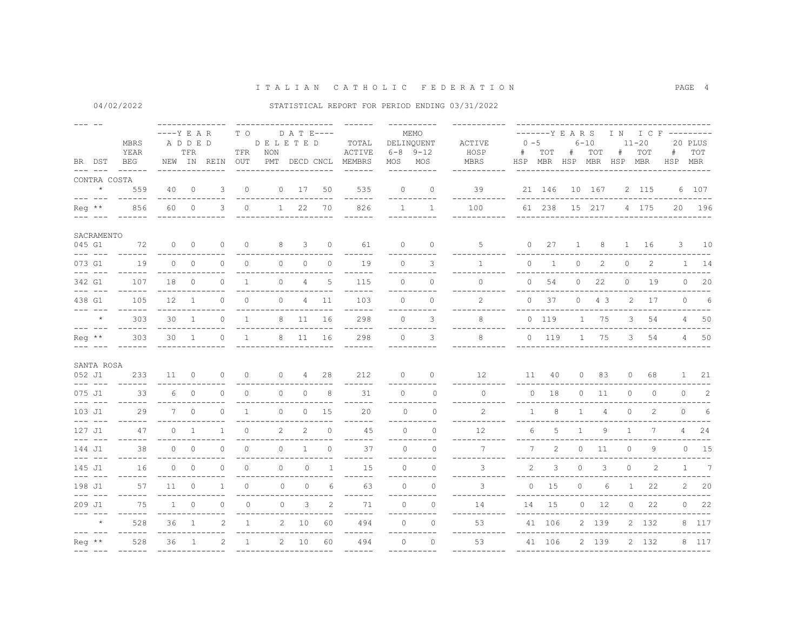|                 | BR DST                                                                                                                                                                                                                                                                                                                                                                                                                                                                     | MBRS<br>YEAR<br>BEG                   | $---Y$ E A R | ADDED<br>TFR   | NEW IN REIN               | T O<br>TFR<br>OUT | DELETED<br>NON              | D A T E----<br>PMT DECD CNCL |                | TOTAL<br>ACTIVE<br>MEMBRS               |           | MEMO<br>DELINQUENT<br>$6 - 8$ $9 - 12$<br>MOS MOS<br><u> - - - - - - - - - -</u> | ACTIVE<br>HOSP<br>MBRS            | $0 - 5$<br>#   | TOT              | #<br>HSP MBR HSP MBR HSP MBR | $6 - 10$<br>TOT | #       | $11 - 20$<br>TOT                 | -------YEARS IN ICF---------<br>#<br>HSP MBR | 20 PLUS<br>TOT |
|-----------------|----------------------------------------------------------------------------------------------------------------------------------------------------------------------------------------------------------------------------------------------------------------------------------------------------------------------------------------------------------------------------------------------------------------------------------------------------------------------------|---------------------------------------|--------------|----------------|---------------------------|-------------------|-----------------------------|------------------------------|----------------|-----------------------------------------|-----------|----------------------------------------------------------------------------------|-----------------------------------|----------------|------------------|------------------------------|-----------------|---------|----------------------------------|----------------------------------------------|----------------|
|                 | $\frac{1}{2} \frac{1}{2} \frac{1}{2} \frac{1}{2} \frac{1}{2} \frac{1}{2} \frac{1}{2} \frac{1}{2} \frac{1}{2} \frac{1}{2} \frac{1}{2} \frac{1}{2} \frac{1}{2} \frac{1}{2} \frac{1}{2} \frac{1}{2} \frac{1}{2} \frac{1}{2} \frac{1}{2} \frac{1}{2} \frac{1}{2} \frac{1}{2} \frac{1}{2} \frac{1}{2} \frac{1}{2} \frac{1}{2} \frac{1}{2} \frac{1}{2} \frac{1}{2} \frac{1}{2} \frac{1}{2} \frac{$<br>CONTRA COSTA                                                               |                                       |              |                |                           |                   |                             |                              |                |                                         |           |                                                                                  |                                   |                |                  |                              |                 |         |                                  |                                              |                |
|                 | $\qquad \qquad \star$<br>$\frac{1}{2}$                                                                                                                                                                                                                                                                                                                                                                                                                                     | 559<br>$- - - - - -$                  | 40           | $\overline{0}$ | 3                         | $\circ$           |                             | $0 \t 17$                    | 50             | 535<br>------                           | $\Omega$  | $\circ$<br>----------                                                            | 39<br>-------                     |                |                  | 21 146 10 167                |                 |         | 2 115                            |                                              | 6 107          |
|                 | Reg **                                                                                                                                                                                                                                                                                                                                                                                                                                                                     | 856                                   | 60           | $\overline{0}$ | 3                         | $\circ$           |                             | $1 \quad 22$                 | 70             | 826<br>------                           |           | $1 \quad 1$                                                                      | 100                               |                |                  |                              |                 |         | 61 238 15 217 4 175              |                                              | 20 196         |
|                 | SACRAMENTO                                                                                                                                                                                                                                                                                                                                                                                                                                                                 |                                       |              |                |                           |                   |                             |                              |                |                                         |           |                                                                                  |                                   |                |                  |                              |                 |         |                                  |                                              |                |
| 045 G1          | $\begin{array}{cccccc} \bot & \bot & \bot & \bot & \bot & \bot \end{array}$                                                                                                                                                                                                                                                                                                                                                                                                | 72                                    |              | $0\qquad 0$    | $\Omega$                  | $\Omega$          | 8<br>-------------          | 3                            | $\overline{0}$ | 61<br>------                            | $\Omega$  | $\Omega$                                                                         | $5 -$                             |                | $0\qquad27$      |                              |                 |         | 1 8 1 16                         |                                              | $3 \t10$       |
|                 | 073 G1<br>$\frac{1}{2} \frac{1}{2} \frac{1}{2} \frac{1}{2} \frac{1}{2} \frac{1}{2} \frac{1}{2} \frac{1}{2} \frac{1}{2} \frac{1}{2} \frac{1}{2} \frac{1}{2} \frac{1}{2} \frac{1}{2} \frac{1}{2} \frac{1}{2} \frac{1}{2} \frac{1}{2} \frac{1}{2} \frac{1}{2} \frac{1}{2} \frac{1}{2} \frac{1}{2} \frac{1}{2} \frac{1}{2} \frac{1}{2} \frac{1}{2} \frac{1}{2} \frac{1}{2} \frac{1}{2} \frac{1}{2} \frac{$                                                                     | 19<br>$- - - - - -$                   | $\Omega$     | $\bigcirc$     | $\Omega$                  | $\Omega$          | $\Omega$                    | $\Omega$                     | $\Omega$       | 19<br>------                            | $\bigcap$ | $\mathcal{L}$<br>----------                                                      | $\mathbf{1}$                      | $\Omega$       | 1                | $\circ$                      | 2               | $\circ$ | 2                                |                                              | $1 \quad 14$   |
|                 | 342 G1<br>$\begin{array}{cccccc} - & - & - & - & - \end{array}$                                                                                                                                                                                                                                                                                                                                                                                                            | 107<br>$- - - - - -$                  |              | 18 0           | $\Omega$                  | $\mathbf{1}$      | $\Omega$                    | $\overline{4}$               | $\overline{5}$ | 115<br>------                           | $\Omega$  | $\Omega$<br>----------                                                           | $\Omega$<br>. <u>.</u> .          |                | $0\qquad 54$     | 0                            | 22              |         | $0$ 19                           |                                              | $0$ 20         |
|                 | 438 G1<br>$\begin{array}{cccccc} - & - & - & - & - \end{array}$                                                                                                                                                                                                                                                                                                                                                                                                            | 105<br>------                         | 12           | $\overline{1}$ | $\Omega$                  | $\Omega$          | $\Omega$                    |                              | 4 11           | 103<br>------                           | $\Omega$  | $\Omega$<br>-----------                                                          | $\mathfrak{D}$                    |                | $0\quad 37$      |                              | $0 \t 4 \t 3$   |         | 2 17                             |                                              | $0\qquad 6$    |
|                 | $\star$                                                                                                                                                                                                                                                                                                                                                                                                                                                                    | 303                                   | 30           | $\overline{1}$ | $\circ$                   | $\mathbf{1}$      | 8                           | 11                           | 16             | 298                                     | $\circ$   | 3                                                                                | 8                                 |                | 0 119            |                              | 1 75            |         | $3^{\circ}$<br>54                |                                              | 4 50           |
| $\text{Re}q$ ** | $\frac{1}{2}$                                                                                                                                                                                                                                                                                                                                                                                                                                                              | $- - - - - -$<br>303<br>$- - - - - -$ |              | 30 1           | $\Omega$                  | $\overline{1}$    |                             | 8 11                         | 16             | $- - - - - -$<br>298<br>$- - - - - - -$ | $\Omega$  | -----------<br>3<br>-----------                                                  | -----------<br>8<br>----------    |                | $0$ 119          | --------------               | 1 75            |         | 3 54                             |                                              | 4 50           |
|                 | SANTA ROSA                                                                                                                                                                                                                                                                                                                                                                                                                                                                 |                                       |              |                |                           |                   |                             |                              |                |                                         |           |                                                                                  |                                   |                |                  |                              |                 |         |                                  |                                              |                |
| 052 J1          |                                                                                                                                                                                                                                                                                                                                                                                                                                                                            | 233<br>$- - - - - -$                  |              | $11 \quad 0$   | $\circ$                   | $\circ$           |                             | $0 \qquad \qquad$            | 4 28           | 212<br>$- - - -$                        | $\Omega$  | $\circ$                                                                          | 12                                |                | 11 40            |                              | 0 83            |         | $0\qquad 68$                     |                                              | 1 21           |
|                 | 075 J1<br>$\frac{1}{2} \frac{1}{2} \frac{1}{2} \frac{1}{2} \frac{1}{2} \frac{1}{2} \frac{1}{2} \frac{1}{2} \frac{1}{2} \frac{1}{2} \frac{1}{2} \frac{1}{2} \frac{1}{2} \frac{1}{2} \frac{1}{2} \frac{1}{2} \frac{1}{2} \frac{1}{2} \frac{1}{2} \frac{1}{2} \frac{1}{2} \frac{1}{2} \frac{1}{2} \frac{1}{2} \frac{1}{2} \frac{1}{2} \frac{1}{2} \frac{1}{2} \frac{1}{2} \frac{1}{2} \frac{1}{2} \frac{$                                                                     | 33<br>$- - - - - -$                   | 6            | $\bigcirc$     | $\Omega$                  | $\circ$           | $\circ$                     | $\circ$                      | 8              | 31                                      | $\Omega$  | $\Omega$<br>----------                                                           | $\Omega$                          |                | $0 \t 18$        |                              | $0$ 11          |         | $\circ$<br>$\circ$               |                                              | $0\qquad 2$    |
|                 | 103 J1                                                                                                                                                                                                                                                                                                                                                                                                                                                                     | 29                                    | $7^{\circ}$  | $\bigcirc$     | $\Omega$                  | $\overline{1}$    | $\Omega$                    | $\circ$                      | 15             | 20                                      | $\Omega$  | $\Omega$                                                                         | $\overline{2}$                    | $\overline{1}$ | 8                | $\overline{1}$               | $\overline{4}$  |         | $\Omega$<br>2                    |                                              | $0\qquad 6$    |
| 127J1           | $\frac{1}{2} \left( \frac{1}{2} \right) \left( \frac{1}{2} \right) \left( \frac{1}{2} \right) \left( \frac{1}{2} \right) \left( \frac{1}{2} \right) \left( \frac{1}{2} \right) \left( \frac{1}{2} \right) \left( \frac{1}{2} \right) \left( \frac{1}{2} \right) \left( \frac{1}{2} \right) \left( \frac{1}{2} \right) \left( \frac{1}{2} \right) \left( \frac{1}{2} \right) \left( \frac{1}{2} \right) \left( \frac{1}{2} \right) \left( \frac{1}{2} \right) \left( \frac$ | $- - - - - -$<br>47<br>$- - - - - -$  |              | $0 \quad 1$    | $\mathbf{1}$              | $\Omega$          | $\overline{2}$              | $\mathcal{L}$                | $\Omega$       | $- - - - - -$<br>45                     | $\Omega$  | ----------<br>$\Omega$<br>-----------                                            | -----------<br>12.<br>___________ | 6              | 5<br>----------- | 1                            | 9               |         | $\mathbf{1}$<br>$7^{\circ}$      |                                              | $4 \t24$       |
| 144 J1          | $\frac{1}{2}$                                                                                                                                                                                                                                                                                                                                                                                                                                                              | 38<br>$- - - - - -$                   |              | $0 \qquad 0$   | $\Omega$                  | $\Omega$          | $- - - - - - -$<br>$\Omega$ | $\mathbf{1}$                 | $\Omega$       | $- - - - - -$<br>37<br>$- - -$          | $\cap$    | $\Omega$                                                                         | $7^{\circ}$                       | $7^{\circ}$    | $\overline{2}$   |                              | $0$ 11          |         | 9<br>$\circ$                     |                                              | $0 \t 15$      |
| 145 J1          | $\frac{1}{2} \frac{1}{2} \frac{1}{2} \frac{1}{2} \frac{1}{2} \frac{1}{2} \frac{1}{2} \frac{1}{2} \frac{1}{2} \frac{1}{2} \frac{1}{2} \frac{1}{2} \frac{1}{2} \frac{1}{2} \frac{1}{2} \frac{1}{2} \frac{1}{2} \frac{1}{2} \frac{1}{2} \frac{1}{2} \frac{1}{2} \frac{1}{2} \frac{1}{2} \frac{1}{2} \frac{1}{2} \frac{1}{2} \frac{1}{2} \frac{1}{2} \frac{1}{2} \frac{1}{2} \frac{1}{2} \frac{$                                                                               | 16                                    |              | $0\qquad 0$    | $\Omega$                  | $\circ$           | $\circ$                     | $\circ$                      | 1              | 15<br>------                            | $\Omega$  | $\circ$<br>----------                                                            | 3<br>----------                   |                | $2^{\circ}$<br>3 | $\circ$                      | 3               |         | $\overline{0}$<br>$\overline{2}$ |                                              | $1 \qquad 7$   |
|                 | 198 J1<br>$\begin{array}{cccccc} - & - & - & - & - \end{array}$                                                                                                                                                                                                                                                                                                                                                                                                            | 57<br>$- - - - - -$                   | $11 \quad 0$ |                | $\overline{1}$            | $\circ$           | $\Omega$                    | $\circ$                      | 6              | 63<br>------                            | $\Omega$  | $\Omega$<br>----------                                                           | 3                                 |                | $0 \t 15$        | $\circ$                      | 6               |         | 22<br>$1 -$                      |                                              | $2 \t 20$      |
| 209 J1          | $\begin{array}{cccccc} - & - & - & - & - \end{array}$                                                                                                                                                                                                                                                                                                                                                                                                                      | 75<br>$- - - - - -$                   | $\mathbf{1}$ | $\Omega$       | $\Omega$                  | $\Omega$          | $\circ$                     | 3                            | 2              | 71<br>$- - - - - -$                     | $\Omega$  | $\Omega$<br>----------                                                           | 14<br>-----------                 |                | 14 15            | ---------------              | $0$ 12          |         | $0$ 22                           |                                              | $0$ 22         |
|                 | $\star$                                                                                                                                                                                                                                                                                                                                                                                                                                                                    | 528                                   | 36           | $\overline{1}$ | $\mathfrak{D}$            | $\overline{1}$    |                             | 2 10                         | 60             | 494<br>$- - - - - -$                    | $\Omega$  | $\Omega$<br>-----------                                                          | 53<br>___________                 |                | 41 106           | ________________             | 2 139           |         | 2 132                            | ______________                               | 8 117          |
|                 | $Re\sigma$ **                                                                                                                                                                                                                                                                                                                                                                                                                                                              | 528<br>$\frac{1}{2}$                  | 36           | $\overline{1}$ | $2^{1}$<br>-------------- | $\overline{1}$    | ----------------------      | $2 \t 10$                    | 60             | 494<br>$\frac{1}{2}$                    | $\cap$    | $\Omega$<br>__________                                                           | 53                                | 41 106         |                  |                              | 2 139           |         | 2 132                            |                                              | 8 117          |
|                 |                                                                                                                                                                                                                                                                                                                                                                                                                                                                            |                                       |              |                |                           |                   |                             |                              |                |                                         |           |                                                                                  |                                   |                |                  |                              |                 |         |                                  |                                              |                |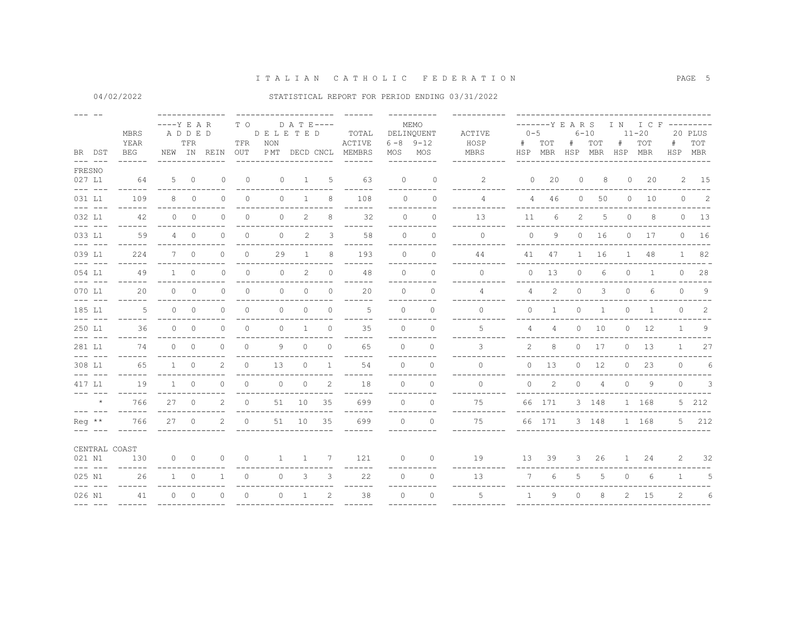04/02/2022

### STATISTICAL REPORT FOR PERIOD ENDING 03/31/2022

|                 | BR DST                                                                                                                                                                                                                                                                                                                                                                                       | MBRS<br>YEAR<br>BEG  | $---Y E A R$<br>ADDED | TFR                      | NEW IN REIN    | T O<br>TFR<br>OUT | DELETED<br>NON<br>P MT | $D$ A T E----<br>DECD CNCL |                | TOTAL<br>ACTIVE<br>MEMBRS     | MOS      | MEMO<br>DELINQUENT<br>$6 - 8$ 9-12<br>MOS | ACTIVE<br>HOSP<br>MBRS | $0 - 5$<br>#          | -------Y E A R S<br>TOT<br>HSP MBR HSP MBR | #                     | $6 - 10$<br>TOT | I N<br>#<br>HSP MBR | $11 - 20$<br>TOT | I C F ---------<br>#<br>HSP | 20 PLUS<br>TOT<br>MBR      |
|-----------------|----------------------------------------------------------------------------------------------------------------------------------------------------------------------------------------------------------------------------------------------------------------------------------------------------------------------------------------------------------------------------------------------|----------------------|-----------------------|--------------------------|----------------|-------------------|------------------------|----------------------------|----------------|-------------------------------|----------|-------------------------------------------|------------------------|-----------------------|--------------------------------------------|-----------------------|-----------------|---------------------|------------------|-----------------------------|----------------------------|
| FRESNO          | $\begin{array}{cccccc} - & - & - & - & - \end{array}$                                                                                                                                                                                                                                                                                                                                        |                      |                       |                          |                |                   |                        |                            |                |                               |          |                                           |                        |                       |                                            |                       |                 |                     |                  |                             |                            |
| 027 L1          |                                                                                                                                                                                                                                                                                                                                                                                              | 64                   |                       | $5 \qquad 0$             | $\mathbf{0}$   | $\circ$           | $\circ$                | $\mathbf{1}$               | 5              | 63                            | $\circ$  | $\mathbf{0}$                              | $\mathbf{2}^{\prime}$  | $\circ$               | 20                                         | $\circ$               | 8               | 0                   | 20               |                             | 2 15                       |
| 031 L1          | $\frac{1}{2}$                                                                                                                                                                                                                                                                                                                                                                                | 109                  | 8                     | $\Omega$                 | $\bigcap$      | $\Omega$          | $\Omega$               | $\mathbf{1}$               | 8              | $---$<br>108                  | $\cap$   | --<br>$\Omega$                            | 4                      | $\overline{4}$        | 46                                         | $\circ$               | 50              | $\circ$             | 10               | $\circ$                     | $\overline{\phantom{0}}$ 2 |
| 032 L1          | $\frac{1}{2}$                                                                                                                                                                                                                                                                                                                                                                                | 42                   | $\circ$               | $\overline{0}$           | $\circ$        | $\circ$           | $\circ$                | 2                          | 8              | 32                            | $\Omega$ | $\circ$                                   | 13                     | 11                    | 6                                          | $\mathbf{2}^{\prime}$ | 5               | $\circ$             | 8                |                             | $0$ 13                     |
| 033 L1          | $\begin{array}{cccccc} - & - & - & - & - \end{array}$                                                                                                                                                                                                                                                                                                                                        | 59                   |                       | $4\qquad 0$              | $\Omega$       | $\circ$           | $\Omega$               | 2                          | 3              | $---$<br>58                   | $\Omega$ | $\Omega$                                  | $\Omega$               | $\Omega$              | 9                                          | $\circ$               | 16              | $\circ$             | 17               | $\circ$                     | 16                         |
| 039 L1          | $\begin{array}{cccccc} - & - & - & - & - \end{array}$                                                                                                                                                                                                                                                                                                                                        | $- - - - - -$<br>224 |                       | 7 0                      | $\Omega$       | $\circ$           | 29                     | $\mathbf{1}$               | 8              | $---$<br>193                  | $\Omega$ | ----------<br>$\Omega$                    | ---------<br>44        |                       | 41 47                                      |                       | 1 16            |                     | $1 -$<br>48      |                             | 1 82                       |
| 054 L1          | $\frac{1}{2} \frac{1}{2} \frac{1}{2} \frac{1}{2} \frac{1}{2} \frac{1}{2} \frac{1}{2} \frac{1}{2} \frac{1}{2} \frac{1}{2} \frac{1}{2} \frac{1}{2} \frac{1}{2} \frac{1}{2} \frac{1}{2} \frac{1}{2} \frac{1}{2} \frac{1}{2} \frac{1}{2} \frac{1}{2} \frac{1}{2} \frac{1}{2} \frac{1}{2} \frac{1}{2} \frac{1}{2} \frac{1}{2} \frac{1}{2} \frac{1}{2} \frac{1}{2} \frac{1}{2} \frac{1}{2} \frac{$ | $- - - - - -$<br>49  | $\mathbf{1}$          | $\Omega$                 | $\Omega$       | $\Omega$          | $\mathbf{0}$           | 2                          | $\Omega$       | ------<br>48                  | $\Omega$ | ----------<br>$\Omega$                    | $\Omega$               | $\Omega$              | 13                                         | $\circ$               | 6               | $\Omega$            | $\overline{1}$   | $\Omega$                    | 28                         |
| 070 L1          |                                                                                                                                                                                                                                                                                                                                                                                              | 20                   | $\circ$               | $\circ$                  | $\Omega$       | $\circ$           | $\circ$                | $\circ$                    | $\circ$        | 20                            | $\circ$  | $\mathbf{0}$                              | 4                      | 4                     | 2                                          | $\circ$               | 3               | $\circ$             | 6                | $\circ$                     | 9                          |
| 185 L1          | $\begin{array}{cccccc} - & - & - & - & - \end{array}$                                                                                                                                                                                                                                                                                                                                        | 5                    | $\Omega$              | $\Omega$                 | $\Omega$       | $\Omega$          | $\Omega$               | $\Omega$                   | $\circ$        | .5                            | $\Omega$ | $\Omega$                                  | $\Omega$               | $\Omega$              | $\mathbf{1}$                               | $\circ$               | 1               | 0                   | 1                | $\Omega$                    | 2                          |
| 250 L1          | $\begin{array}{cccccc} - & - & - & - & - \end{array}$                                                                                                                                                                                                                                                                                                                                        | 36                   | $\Omega$              | $\overline{0}$           | $\Omega$       | $\Omega$          | $\Omega$               | $\mathbf{1}$               | $\Omega$       | ----<br>35                    | $\Omega$ | ----------<br>$\Omega$                    | -------<br>5.          | 4                     | 4                                          | $\circ$               | 10              | $\circ$             | 12               | $\mathbf{1}$                | 9                          |
| 281 L1          | $\frac{1}{2}$                                                                                                                                                                                                                                                                                                                                                                                | ------<br>74         | $\Omega$              | $\Omega$                 | $\Omega$       | $\circ$           | 9                      | $\circ$                    | $\Omega$       | ------<br>65                  | $\Omega$ | ----------<br>$\Omega$                    | -------<br>3           | $\mathbf{2}^{\prime}$ | 8                                          | $\circ$               | 17              | $\circ$             | 13               | $\mathbf{1}$                | 27                         |
| 308 L1          | $\frac{1}{2}$                                                                                                                                                                                                                                                                                                                                                                                | 65                   | $\mathbf{1}$          | $\circ$                  | 2              | $\Omega$          | 13                     | $\Omega$                   | $\overline{1}$ | 54                            | $\Omega$ | $\Omega$                                  | $\Omega$               | $\Omega$              | 13                                         | $\circ$               | 12              | $\circ$             | 23               | $\circ$                     | 6                          |
| 417 L1          |                                                                                                                                                                                                                                                                                                                                                                                              | 19                   | $\mathbf{1}$          | $\circ$                  | $\Omega$       | $\circ$           | $\circ$                | $\circ$                    | 2              | $- - - -$<br>18               | $\Omega$ | $\Omega$                                  | $\circ$                | $\circ$               | 2                                          | $\circ$               | $\overline{4}$  | $\circ$             | 9                | $\Omega$                    | 3                          |
|                 | $- - - - - - - -$<br>$\star$                                                                                                                                                                                                                                                                                                                                                                 | -----<br>766         | 27                    | $\bigcirc$               | 2              | $\Omega$          | 51                     | 10                         | 35             | ------<br>699                 | $\Omega$ | ----------<br>$\Omega$                    | ----------<br>75       |                       | 66 171                                     |                       | 3 148           |                     | 1 168            |                             | 5 212                      |
| $\text{Re}q$ ** | $\frac{1}{2} \frac{1}{2} \frac{1}{2} \frac{1}{2} \frac{1}{2} \frac{1}{2} \frac{1}{2} \frac{1}{2} \frac{1}{2} \frac{1}{2} \frac{1}{2} \frac{1}{2} \frac{1}{2} \frac{1}{2} \frac{1}{2} \frac{1}{2} \frac{1}{2} \frac{1}{2} \frac{1}{2} \frac{1}{2} \frac{1}{2} \frac{1}{2} \frac{1}{2} \frac{1}{2} \frac{1}{2} \frac{1}{2} \frac{1}{2} \frac{1}{2} \frac{1}{2} \frac{1}{2} \frac{1}{2} \frac{$ | $- - - - - -$<br>766 | 27                    | $\overline{0}$           | $\mathfrak{D}$ | $\Omega$          | 51                     | 10                         | 35             | $- - - - - -$<br>699<br>----- | $\Omega$ | ----------<br>$\Omega$                    | ----------<br>75       |                       | 66 171                                     |                       | 3 148           |                     | 1 168            |                             | 5 212                      |
|                 | CENTRAL COAST                                                                                                                                                                                                                                                                                                                                                                                |                      |                       |                          |                |                   |                        |                            |                |                               |          |                                           |                        |                       |                                            |                       |                 |                     |                  |                             |                            |
| 021 N1          | $\frac{1}{2} \frac{1}{2} \frac{1}{2} \frac{1}{2} \frac{1}{2} \frac{1}{2} \frac{1}{2} \frac{1}{2} \frac{1}{2} \frac{1}{2} \frac{1}{2} \frac{1}{2} \frac{1}{2} \frac{1}{2} \frac{1}{2} \frac{1}{2} \frac{1}{2} \frac{1}{2} \frac{1}{2} \frac{1}{2} \frac{1}{2} \frac{1}{2} \frac{1}{2} \frac{1}{2} \frac{1}{2} \frac{1}{2} \frac{1}{2} \frac{1}{2} \frac{1}{2} \frac{1}{2} \frac{1}{2} \frac{$ | 130<br>$- - - - - -$ | $\circ$               | $\overline{\phantom{0}}$ | 0              | $\circ$           | $\mathbf{1}$           | $\mathbf{1}$               | 7              | 121                           | $\circ$  | $\circ$                                   | 19                     | 13                    | 39                                         | $\mathcal{S}$         | 26              | 1                   | 24               | 2                           | 32                         |
| 025 N1          | $\frac{1}{2} \frac{1}{2} \frac{1}{2} \frac{1}{2} \frac{1}{2} \frac{1}{2} \frac{1}{2} \frac{1}{2} \frac{1}{2} \frac{1}{2} \frac{1}{2} \frac{1}{2} \frac{1}{2} \frac{1}{2} \frac{1}{2} \frac{1}{2} \frac{1}{2} \frac{1}{2} \frac{1}{2} \frac{1}{2} \frac{1}{2} \frac{1}{2} \frac{1}{2} \frac{1}{2} \frac{1}{2} \frac{1}{2} \frac{1}{2} \frac{1}{2} \frac{1}{2} \frac{1}{2} \frac{1}{2} \frac{$ | 26<br>$- - - - - -$  | $\mathbf{1}$          | $\circ$                  | $\mathbf{1}$   | $\Omega$          | $\circ$                | 3                          | 3              | 22<br>------                  | $\Omega$ | $\Omega$<br>----------                    | 13                     | $7^{\circ}$           | $6\overline{6}$                            | 5                     | 5               | $\circ$             | 6                | $\mathbf{1}$                | 5                          |
| 026 N1          |                                                                                                                                                                                                                                                                                                                                                                                              | 41                   | $\Omega$              | $\Omega$                 | $\Omega$       | $\Omega$          | $\circ$                | $\mathbf{1}$               | 2              | 38                            | $\Omega$ | $\Omega$                                  | 5                      | 1                     | 9                                          | 0                     | 8               | 2                   | 15               | $\overline{2}$              | 6                          |
|                 |                                                                                                                                                                                                                                                                                                                                                                                              |                      |                       |                          |                |                   |                        |                            |                |                               |          |                                           |                        |                       |                                            |                       |                 |                     |                  |                             |                            |

PAGE 5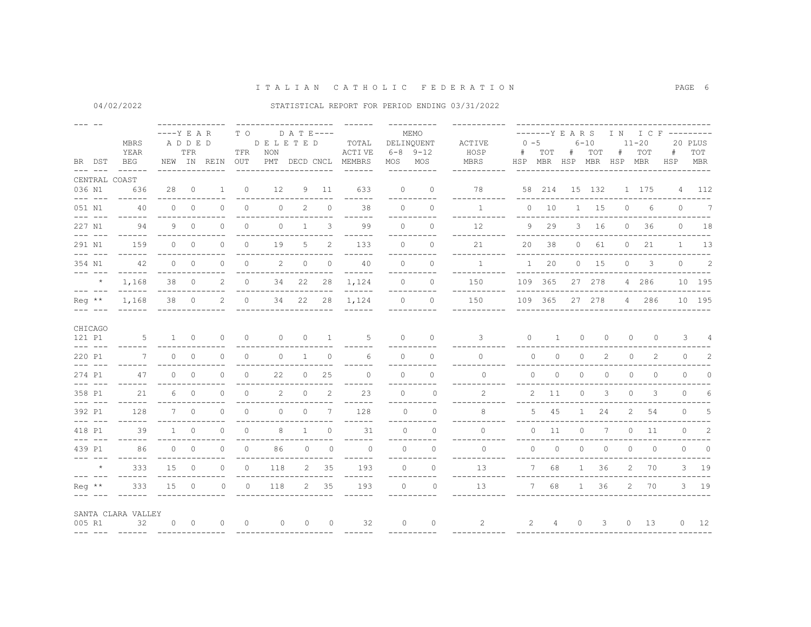04/02/2022

|                 | BR DST<br>$\frac{1}{2} \frac{1}{2} \frac{1}{2} \frac{1}{2} \frac{1}{2} \frac{1}{2} \frac{1}{2} \frac{1}{2} \frac{1}{2} \frac{1}{2} \frac{1}{2} \frac{1}{2} \frac{1}{2} \frac{1}{2} \frac{1}{2} \frac{1}{2} \frac{1}{2} \frac{1}{2} \frac{1}{2} \frac{1}{2} \frac{1}{2} \frac{1}{2} \frac{1}{2} \frac{1}{2} \frac{1}{2} \frac{1}{2} \frac{1}{2} \frac{1}{2} \frac{1}{2} \frac{1}{2} \frac{1}{2} \frac{$                                                                                                                                                                                                                                                                                                                                                                                       | MBRS<br>YEAR<br><b>BEG</b><br>------                         | $---Y E A R$<br>ADDED | TFR                      | NEW IN REIN | T O<br>TFR<br>OUT | DELETED<br><b>NON</b><br>--------- | D A T E----  |                   | TOTAL<br>ACTI VE<br>PMT DECD CNCL MEMBRS<br>$- - - - - -$ | MOS MOS   | MEMO<br>DELINQUENT<br>$6 - 8$ $9 - 12$<br>----------- | ACTIVE<br>HOSP<br>MBRS<br><u>__________</u> _ | $0 - 5$<br>#                  | TOT                   | -------Y E A R S<br>$6 - 10$<br>#<br>HSP MBR HSP MBR HSP MBR | TOT                      | #              | $11 - 20$<br>TOT | I N I C F ---------<br>#<br>HSP | 20 PLUS<br>TOT<br>MBR<br>--------  |
|-----------------|----------------------------------------------------------------------------------------------------------------------------------------------------------------------------------------------------------------------------------------------------------------------------------------------------------------------------------------------------------------------------------------------------------------------------------------------------------------------------------------------------------------------------------------------------------------------------------------------------------------------------------------------------------------------------------------------------------------------------------------------------------------------------------------------|--------------------------------------------------------------|-----------------------|--------------------------|-------------|-------------------|------------------------------------|--------------|-------------------|-----------------------------------------------------------|-----------|-------------------------------------------------------|-----------------------------------------------|-------------------------------|-----------------------|--------------------------------------------------------------|--------------------------|----------------|------------------|---------------------------------|------------------------------------|
| 036 N1          |                                                                                                                                                                                                                                                                                                                                                                                                                                                                                                                                                                                                                                                                                                                                                                                              | CENTRAL COAST<br>636                                         | 28                    | $\overline{0}$           | 1           | $\circ$           | 12                                 |              | 9 11              | 633                                                       | $\circ$   | $\circ$                                               | 78                                            |                               |                       | 58  214  15  132                                             |                          |                | 1 175            |                                 | 4 112                              |
| 051 N1          | $\frac{1}{2} \frac{1}{2} \frac{1}{2} \frac{1}{2} \frac{1}{2} \frac{1}{2} \frac{1}{2} \frac{1}{2} \frac{1}{2} \frac{1}{2} \frac{1}{2} \frac{1}{2} \frac{1}{2} \frac{1}{2} \frac{1}{2} \frac{1}{2} \frac{1}{2} \frac{1}{2} \frac{1}{2} \frac{1}{2} \frac{1}{2} \frac{1}{2} \frac{1}{2} \frac{1}{2} \frac{1}{2} \frac{1}{2} \frac{1}{2} \frac{1}{2} \frac{1}{2} \frac{1}{2} \frac{1}{2} \frac{$<br>$\frac{1}{2} \frac{1}{2} \frac{1}{2} \frac{1}{2} \frac{1}{2} \frac{1}{2} \frac{1}{2} \frac{1}{2} \frac{1}{2} \frac{1}{2} \frac{1}{2} \frac{1}{2} \frac{1}{2} \frac{1}{2} \frac{1}{2} \frac{1}{2} \frac{1}{2} \frac{1}{2} \frac{1}{2} \frac{1}{2} \frac{1}{2} \frac{1}{2} \frac{1}{2} \frac{1}{2} \frac{1}{2} \frac{1}{2} \frac{1}{2} \frac{1}{2} \frac{1}{2} \frac{1}{2} \frac{1}{2} \frac{$ | 40<br>$- - - - - -$                                          | $\Omega$              | $\overline{0}$           | $\circ$     | $\circ$           | $\circ$                            | 2            | $\circ$           | 38                                                        | $\circ$   | $\Omega$                                              | -----------<br>$\mathbf{1}$                   | $- - - - -$                   | $0\qquad 10$          |                                                              | $1 \quad 15$             | $\circ$        | 6                | $\overline{0}$                  | $\overline{7}$                     |
| 227 N1          | $\frac{1}{2} \frac{1}{2} \frac{1}{2} \frac{1}{2} \frac{1}{2} \frac{1}{2} \frac{1}{2} \frac{1}{2} \frac{1}{2} \frac{1}{2} \frac{1}{2} \frac{1}{2} \frac{1}{2} \frac{1}{2} \frac{1}{2} \frac{1}{2} \frac{1}{2} \frac{1}{2} \frac{1}{2} \frac{1}{2} \frac{1}{2} \frac{1}{2} \frac{1}{2} \frac{1}{2} \frac{1}{2} \frac{1}{2} \frac{1}{2} \frac{1}{2} \frac{1}{2} \frac{1}{2} \frac{1}{2} \frac{$                                                                                                                                                                                                                                                                                                                                                                                                 | 94                                                           |                       | 9 0                      | $\Omega$    | $\Omega$          | $\circ$                            | $\mathbf{1}$ | 3                 | ------<br>99                                              | $\Omega$  | ----------<br>$\cap$<br>----------                    | -----------<br>12<br>-----------              |                               | 9 29                  |                                                              | 3 16                     | $\circ$        | 36               |                                 | $-- - -$<br>$0 \t 18$<br>--------  |
| 291 N1          |                                                                                                                                                                                                                                                                                                                                                                                                                                                                                                                                                                                                                                                                                                                                                                                              | 159                                                          |                       | $0 \qquad 0$             | $\Omega$    | $\Omega$          | 19                                 | 5            | $\overline{c}$    | ------<br>133                                             | $\Omega$  | $\Omega$                                              | 21<br>-----------                             | $- - - - - -$<br>20           | 38                    | $\overline{0}$                                               | 61                       | $\circ$        | 21               |                                 | $1 \t 13$                          |
| 354 N1          | $\begin{array}{cccccc} - & - & - & - & - \end{array}$                                                                                                                                                                                                                                                                                                                                                                                                                                                                                                                                                                                                                                                                                                                                        | 42<br>$- - - - - -$                                          | $\Omega$              | $\bigcirc$               | $\Omega$    | $\circ$           | 2                                  | $\circ$      | $\circ$           | 40<br>$- - - - - -$                                       | $\Omega$  | $\Omega$<br>-----------                               | $\overline{1}$<br>------------                | $\mathbf{1}$<br>$\frac{1}{2}$ | 20                    |                                                              | $0 \t 15$                | $\circ$        | $\mathbf{3}$     | $\circ$                         | $\overline{\phantom{0}}$ 2<br>---- |
|                 | $\star$<br>$\frac{1}{2} \frac{1}{2} \frac{1}{2} \frac{1}{2} \frac{1}{2} \frac{1}{2} \frac{1}{2} \frac{1}{2} \frac{1}{2} \frac{1}{2} \frac{1}{2} \frac{1}{2} \frac{1}{2} \frac{1}{2} \frac{1}{2} \frac{1}{2} \frac{1}{2} \frac{1}{2} \frac{1}{2} \frac{1}{2} \frac{1}{2} \frac{1}{2} \frac{1}{2} \frac{1}{2} \frac{1}{2} \frac{1}{2} \frac{1}{2} \frac{1}{2} \frac{1}{2} \frac{1}{2} \frac{1}{2} \frac{$                                                                                                                                                                                                                                                                                                                                                                                      | 1,168<br>$- - - - - -$                                       | 38<br>--------------  | $\bigcirc$               | 2           | $\Omega$          | 34                                 | 22           | 28                | 1,124<br>$- - - - - -$                                    | $\Omega$  | $\cap$<br>__________                                  | 150<br>-----------                            |                               | 109 365<br>---------- |                                                              | 27 278                   |                | 4 286            | -------------------------       | 10 195                             |
| $Re\alpha$ **   |                                                                                                                                                                                                                                                                                                                                                                                                                                                                                                                                                                                                                                                                                                                                                                                              | 1,168                                                        |                       | 38 0                     | 2           | $\bigcirc$        | 34                                 | 22           | 28                | 1,124                                                     |           | $\Omega$<br>$\Omega$                                  | 150                                           |                               | 109 365               |                                                              |                          |                | 27 278 4 286     |                                 | 10 195                             |
| 121 P1          | CHICAGO<br>$\frac{1}{2} \frac{1}{2} \frac{1}{2} \frac{1}{2} \frac{1}{2} \frac{1}{2} \frac{1}{2} \frac{1}{2} \frac{1}{2} \frac{1}{2} \frac{1}{2} \frac{1}{2} \frac{1}{2} \frac{1}{2} \frac{1}{2} \frac{1}{2} \frac{1}{2} \frac{1}{2} \frac{1}{2} \frac{1}{2} \frac{1}{2} \frac{1}{2} \frac{1}{2} \frac{1}{2} \frac{1}{2} \frac{1}{2} \frac{1}{2} \frac{1}{2} \frac{1}{2} \frac{1}{2} \frac{1}{2} \frac{$                                                                                                                                                                                                                                                                                                                                                                                      | 5                                                            |                       | $1 \quad 0$              | $\Omega$    | $\Omega$          | $\Omega$                           | $\Omega$     | $\sim$ 1          | -5                                                        | $\Omega$  | $\cap$                                                | 3                                             | $\Omega$                      | $\overline{1}$        | $\circ$                                                      | $\Omega$                 | $\Omega$       | $\Omega$         |                                 | $3 \t 4$                           |
| 220 P1          |                                                                                                                                                                                                                                                                                                                                                                                                                                                                                                                                                                                                                                                                                                                                                                                              | 7                                                            | $\Omega$              | $\Omega$                 | $\Omega$    | $\Omega$          | $\circ$                            | $\mathbf{1}$ | $\Omega$          | 6                                                         | $\Omega$  | $\Omega$                                              | $\Omega$                                      | $\Omega$                      | $\circ$               | $\circ$                                                      | 2                        | $\circ$        | 2                |                                 | 2<br>$0 \qquad \qquad$             |
| 274 P1          | $- - - - - - -$                                                                                                                                                                                                                                                                                                                                                                                                                                                                                                                                                                                                                                                                                                                                                                              | 47                                                           | $\circ$               | $\overline{0}$           | 0           | $\circ$           | 22                                 | $\circ$      | 25                | $\circ$<br>------                                         | $\circ$   | $\circ$<br>_________                                  | $\circ$<br>-------                            | $\circ$                       | $\circ$               | $\circ$                                                      | $\circ$                  | $\circ$        | $\circ$          | $\circ$                         | $\Omega$                           |
| 358 P1          | $\frac{1}{2} \frac{1}{2} \frac{1}{2} \frac{1}{2} \frac{1}{2} \frac{1}{2} \frac{1}{2} \frac{1}{2} \frac{1}{2} \frac{1}{2} \frac{1}{2} \frac{1}{2} \frac{1}{2} \frac{1}{2} \frac{1}{2} \frac{1}{2} \frac{1}{2} \frac{1}{2} \frac{1}{2} \frac{1}{2} \frac{1}{2} \frac{1}{2} \frac{1}{2} \frac{1}{2} \frac{1}{2} \frac{1}{2} \frac{1}{2} \frac{1}{2} \frac{1}{2} \frac{1}{2} \frac{1}{2} \frac{$                                                                                                                                                                                                                                                                                                                                                                                                 | 21<br>$- - - - - -$                                          | 6.                    | $\overline{\phantom{0}}$ | $\Omega$    | $\Omega$          | 2                                  | $\circ$      | 2                 | 23<br>------                                              | $\bigcap$ | $\Omega$<br>----------                                | 2<br>--------                                 | 2                             | 11                    | $\circ$                                                      | 3                        | $\circ$        | 3                | $\circ$                         | 6                                  |
| 392 P1          |                                                                                                                                                                                                                                                                                                                                                                                                                                                                                                                                                                                                                                                                                                                                                                                              | 128<br>$- - - - - -$                                         |                       | $7\qquad0$               | $\Omega$    | $\circ$           | $\circ$                            | $\circ$      | 7                 | 128<br>------                                             | $\cap$    | $\Omega$<br>----------                                | 8                                             | 5                             | 45                    | $\mathbf{1}$                                                 | 24                       | $\overline{2}$ | 54               |                                 | $0\qquad 5$                        |
| 418 P1          | $\frac{1}{2} \frac{1}{2} \frac{1}{2} \frac{1}{2} \frac{1}{2} \frac{1}{2} \frac{1}{2} \frac{1}{2} \frac{1}{2} \frac{1}{2} \frac{1}{2} \frac{1}{2} \frac{1}{2} \frac{1}{2} \frac{1}{2} \frac{1}{2} \frac{1}{2} \frac{1}{2} \frac{1}{2} \frac{1}{2} \frac{1}{2} \frac{1}{2} \frac{1}{2} \frac{1}{2} \frac{1}{2} \frac{1}{2} \frac{1}{2} \frac{1}{2} \frac{1}{2} \frac{1}{2} \frac{1}{2} \frac{$                                                                                                                                                                                                                                                                                                                                                                                                 | 39                                                           | $\mathbf{1}$          | $\overline{0}$           | 0           | $\circ$           | 8                                  | $\mathbf{1}$ | $\Omega$          | 31<br>------                                              | $\Omega$  | $\circ$                                               | $\Omega$                                      | $\circ$                       | 11                    | $\circ$                                                      | 7                        | $\circ$        | 11               | $\circ$                         | 2                                  |
| 439 P1          | $\begin{array}{cccccc} - & - & - & - & - \end{array}$                                                                                                                                                                                                                                                                                                                                                                                                                                                                                                                                                                                                                                                                                                                                        | 86<br>$- - - - - -$                                          |                       | $0 \qquad 0$             | $\Omega$    | $\Omega$          | 86                                 | $\Omega$     | $\Omega$          | $\cap$<br>------                                          | $\Omega$  | $\Omega$<br>__________                                | $\bigcap$<br>. _ _ _ _ _ _ _ _ _ _            | $\Omega$                      | $\Omega$              | $\circ$                                                      | $\circ$                  | $\circ$        | $\circ$          | $\Omega$                        | $\overline{0}$                     |
|                 | $\star$<br>$\begin{array}{cccccc} - & - & - & - & - & - \\ & - & - & - & - & - \end{array}$                                                                                                                                                                                                                                                                                                                                                                                                                                                                                                                                                                                                                                                                                                  | 333<br>$- - - - - -$                                         | 15                    | $\overline{0}$           | $\Omega$    | $\Omega$          | 118                                | 2            | 35                | 193<br>------                                             | $\Omega$  | $\Omega$<br>----------                                | 13<br>-----------                             | $7^{\circ}$                   | 68                    | $\mathbf{1}$                                                 | 36                       | 2              | 70               |                                 | 3 19                               |
| $\text{Re}q$ ** |                                                                                                                                                                                                                                                                                                                                                                                                                                                                                                                                                                                                                                                                                                                                                                                              | 333                                                          | 15                    | $\overline{0}$           | $\circ$     | $\circ$           | 118                                |              | $2 \overline{35}$ | 193                                                       | $\Omega$  | $\circ$                                               | 13                                            | $7\overline{ }$               | 68                    |                                                              | $1 \quad 36$             | 2              | 70               |                                 | $3$ 19                             |
| 005 R1          |                                                                                                                                                                                                                                                                                                                                                                                                                                                                                                                                                                                                                                                                                                                                                                                              | SANTA CLARA VALLEY<br>$\overline{32}$<br>___ ___ _____ _____ |                       | $0\qquad 0$              | $\circ$     | $\overline{0}$    | $\circ$                            |              | $0\qquad 0$       | 32                                                        | $\Omega$  | $\overline{0}$                                        | 2                                             |                               | 2 4                   | $\circ$                                                      | $\overline{\phantom{a}}$ | $\circ$        | 13               |                                 | $0 \t 12$                          |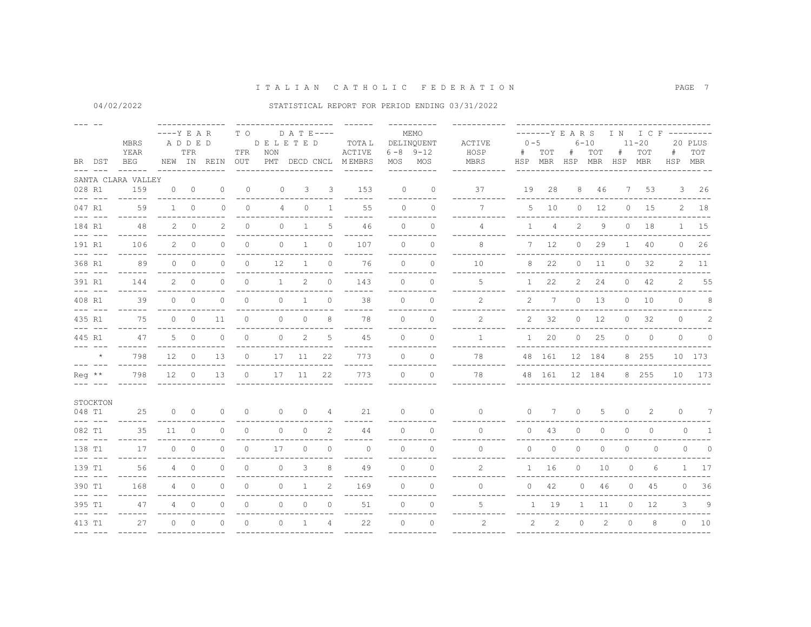|                                                |                                                                                                                                                                                                                                                                                                                                                                                                                                                                                      |                                        |               |                |                   |                                               | -------------------- |                |                                   |                           |                                           |                                      |                                             |                |                       |                                            |              |                  |                                  |                |                |
|------------------------------------------------|--------------------------------------------------------------------------------------------------------------------------------------------------------------------------------------------------------------------------------------------------------------------------------------------------------------------------------------------------------------------------------------------------------------------------------------------------------------------------------------|----------------------------------------|---------------|----------------|-------------------|-----------------------------------------------|----------------------|----------------|-----------------------------------|---------------------------|-------------------------------------------|--------------------------------------|---------------------------------------------|----------------|-----------------------|--------------------------------------------|--------------|------------------|----------------------------------|----------------|----------------|
| MBRS<br>YEAR<br><b>BEG</b><br>BR DST<br>------ |                                                                                                                                                                                                                                                                                                                                                                                                                                                                                      | $---Y$ E A R                           | ADDED<br>TFR  | NEW IN REIN    | T O<br>TFR<br>OUT | <b>DELETED</b><br><b>NON</b><br>PMT DECD CNCL | $D$ A T E ----       |                | TOTA L<br>ACTIVE<br><b>MEMBRS</b> | MOS                       | MEMO<br>DELINOUENT<br>$6 - 8$ 9-12<br>MOS | ACTIVE<br>HOSP<br><b>MBRS</b>        | $0 - 5$<br>#                                | TOT            | -------Y E A R S<br># | $6 - 10$<br>TOT<br>HSP MBR HSP MBR HSP MBR | #            | $11 - 20$<br>TOT | IN ICF ---------<br>#<br>HSP MBR | 20 PLUS<br>TOT |                |
|                                                |                                                                                                                                                                                                                                                                                                                                                                                                                                                                                      |                                        |               |                |                   |                                               | ---------            |                | ----                              | $- - - - - -$             |                                           | ----------                           | --------                                    |                |                       |                                            |              |                  |                                  |                |                |
|                                                | 028 R1                                                                                                                                                                                                                                                                                                                                                                                                                                                                               | SANTA CLARA VALLEY<br>159              | $\Omega$      | $\overline{0}$ | $\circ$           | $\mathbf{0}$                                  | $\Omega$             | 3              | 3                                 | 153                       | $\Omega$                                  | $\Omega$                             | 37                                          | 19             | 28                    | 8                                          | 46           |                  | 7<br>53                          |                | $3 \t26$       |
|                                                | $- - - - - - -$<br>047 R1<br>$\begin{array}{cccccc} - & - & - & - & - \\ & - & - & - & - \end{array}$                                                                                                                                                                                                                                                                                                                                                                                | $- - - - - -$<br>59<br>$- - - - - - -$ | $1 \quad$     | $\circ$        | $\Omega$          | $\circ$                                       | 4                    | $\circ$        | $\mathbf{1}$                      | ------<br>55<br>------    | $\Omega$                                  | ----------<br>$\Omega$<br>---------- | ---------<br>$7\overline{ }$<br>----------- |                | $5\qquad10$           | $\circ$                                    | 12           |                  | $0\qquad 15$                     |                | $2 \t18$       |
|                                                | 184 R1<br>$\frac{1}{2} \left( \frac{1}{2} \right) \left( \frac{1}{2} \right) \left( \frac{1}{2} \right) \left( \frac{1}{2} \right) \left( \frac{1}{2} \right) \left( \frac{1}{2} \right) \left( \frac{1}{2} \right) \left( \frac{1}{2} \right) \left( \frac{1}{2} \right) \left( \frac{1}{2} \right) \left( \frac{1}{2} \right) \left( \frac{1}{2} \right) \left( \frac{1}{2} \right) \left( \frac{1}{2} \right) \left( \frac{1}{2} \right) \left( \frac{1}{2} \right) \left( \frac$ | 48<br>------                           |               | $2 \ 0$        | $\mathcal{L}$     | $\Omega$                                      | $\Omega$             | $\overline{1}$ | .5                                | 46<br>------              | $\Omega$                                  | $\Omega$<br>-----------              | 4                                           | $\mathbf{1}$   | $\overline{4}$        | $\mathbf{2}$                               | 9            | $\Omega$         | 18                               |                | 1 15           |
|                                                | 191 R1<br>$\frac{1}{2}$                                                                                                                                                                                                                                                                                                                                                                                                                                                              | 106<br>$- - - - - -$                   |               | $2 \ 0$        | $\Omega$          | $\Omega$                                      | $\Omega$             | $\overline{1}$ | $\bigcap$                         | 107<br>------             | $\bigcap$                                 | $\Omega$<br>----------               | 8                                           |                | 7 12                  | $\circ$                                    | 29           | $\mathbf{1}$     | 40                               |                | $0$ 26         |
|                                                | 368 R1                                                                                                                                                                                                                                                                                                                                                                                                                                                                               | 89<br>$- - - - - -$                    | $\Omega$      | $\Omega$       | $\Omega$          | $\circ$                                       | 12                   | $\mathbf{1}$   | $\circ$                           | 76<br>------              | $\Omega$                                  | $\circ$<br>----------                | 10<br>----------                            | 8              | 22                    | $\circ$                                    | 11           | $\circ$          | 32                               |                | $2 \quad 11$   |
|                                                | 391 R1<br>$\frac{1}{2}$                                                                                                                                                                                                                                                                                                                                                                                                                                                              | 144<br>$- - - - - -$                   |               | $2 \ 0$        | $\Omega$          | $\Omega$                                      | $\mathbf{1}$         | 2              | $\Omega$                          | 143<br>------             | $\Omega$                                  | $\Omega$<br>----------               | 5                                           |                | 1 22                  |                                            | 2 24         |                  | $0\quad 42$                      |                | 2 55           |
|                                                | 408 R1<br>$\frac{1}{2}$                                                                                                                                                                                                                                                                                                                                                                                                                                                              | 39<br>$- - - - - - -$                  |               | $0\qquad 0$    | $\Omega$          | $\circ$                                       | $\circ$              | $\mathbf{1}$   | $\Omega$                          | 38                        | $\cap$                                    | $\Omega$<br>-----------              | $\mathfrak{D}$                              | $\overline{2}$ | 7                     |                                            | $0\quad 13$  | $\circ$          | 10                               | $\circ$        | 8 <sup>8</sup> |
|                                                | 435 R1                                                                                                                                                                                                                                                                                                                                                                                                                                                                               | 75                                     |               | $0\qquad 0$    | 11                | $\circ$                                       | $\circ$              | $\circ$        | 8                                 | ------<br>78              | $\Omega$                                  | $\Omega$                             | 2                                           | $\overline{2}$ | 32                    |                                            | $0$ 12       | $\circ$          | 32                               | $\circ$        | 2              |
|                                                | $- - - - - - -$<br>445 R1                                                                                                                                                                                                                                                                                                                                                                                                                                                            | $- - - - - -$<br>47                    |               | $5 \qquad 0$   | $\circ$           | $\circ$                                       | $\circ$              | 2              | 5                                 | ------<br>45              | $\circ$                                   | ----------<br>$\Omega$               | -----------<br>$\mathbf{1}$                 |                | 1 20                  |                                            | $0\qquad25$  |                  | $0\qquad 0$                      |                | $0 \qquad 0$   |
|                                                | $\star$                                                                                                                                                                                                                                                                                                                                                                                                                                                                              | ------<br>798                          |               | $12 \qquad 0$  | 13                | $\circ$                                       |                      | 17 11          | 22                                | ------<br>773             | $\Omega$                                  | __________<br>$\Omega$               | -----------<br>78                           |                | ______________        | 48 161 12 184                              |              |                  | 8 255                            |                | 10 173         |
|                                                | $\text{Re}q$ **<br>--- --                                                                                                                                                                                                                                                                                                                                                                                                                                                            | 798                                    | $12 \qquad 0$ |                | 13                | $\circ$                                       | 17                   | 11             | 22                                | $------$<br>773<br>------ | $\circ$                                   | $\circ$                              | 78                                          |                | 48 161                |                                            | 12 184       |                  | 8 255                            |                | 10 173         |
|                                                | STOCKTON                                                                                                                                                                                                                                                                                                                                                                                                                                                                             |                                        |               |                |                   |                                               |                      |                |                                   |                           |                                           |                                      |                                             |                |                       |                                            |              |                  |                                  |                |                |
|                                                | 048 T1<br>$\frac{1}{2} \frac{1}{2} \frac{1}{2} \frac{1}{2} \frac{1}{2} \frac{1}{2} \frac{1}{2} \frac{1}{2} \frac{1}{2} \frac{1}{2} \frac{1}{2} \frac{1}{2} \frac{1}{2} \frac{1}{2} \frac{1}{2} \frac{1}{2} \frac{1}{2} \frac{1}{2} \frac{1}{2} \frac{1}{2} \frac{1}{2} \frac{1}{2} \frac{1}{2} \frac{1}{2} \frac{1}{2} \frac{1}{2} \frac{1}{2} \frac{1}{2} \frac{1}{2} \frac{1}{2} \frac{1}{2} \frac{$                                                                               | 25<br>$- - - - - - -$                  | $\circ$       | $\overline{0}$ | $\circ$           | $\circ$                                       | $\circ$              | $\circ$        | 4                                 | 21                        | $\Omega$                                  | $\Omega$<br>----------               | $\Omega$                                    | $\circ$        | 7                     | $\Omega$                                   | 5            | $\circ$          | 2                                | $\Omega$       | 7              |
|                                                | 082 T1<br>$- - - - - - -$                                                                                                                                                                                                                                                                                                                                                                                                                                                            | 35<br>$- - - - - -$                    | $11 \quad 0$  |                | $\Omega$          | $\circ$                                       | $\Omega$             | $\circ$        | 2                                 | 44<br>------              | $\Omega$                                  | $\Omega$<br>----------               | $\Omega$                                    | $\Omega$       | 43                    | $\circ$                                    | $\circ$      | $\circ$          | $\mathbf{0}$                     | $\Omega$       | $\sim$ 1       |
|                                                | 138 T1<br>$\frac{1}{2}$                                                                                                                                                                                                                                                                                                                                                                                                                                                              | 17<br>$- - - - - -$                    | $\Omega$      | $\overline{0}$ | $\circ$           | $\circ$                                       | 17                   | $\circ$        | $\Omega$                          | $\circ$<br>$- - - - - -$  | $\Omega$                                  | $\Omega$<br>-----------              | $\Omega$                                    | $\circ$        | $\circ$               | $\circ$                                    | $\circ$      | $\circ$          | $\mathbf{0}$                     | $\circ$        | $\Omega$       |
|                                                | 139 T1<br>$\frac{1}{2}$                                                                                                                                                                                                                                                                                                                                                                                                                                                              | 56<br>------                           |               | $4 \quad 0$    | $\Omega$          | $\Omega$                                      | $\Omega$             | 3              | 8                                 | 49<br>----                | $\cap$                                    | $\Omega$                             | $\mathcal{L}$                               |                | 1 16                  | $\circ$                                    | 10           | $\circ$          | 6                                |                | $1 \t17$       |
|                                                | 390 T1                                                                                                                                                                                                                                                                                                                                                                                                                                                                               | 168                                    |               | $4\qquad 0$    | $\circ$           | $\circ$                                       | $\circ$              | $\mathbf{1}$   | 2                                 | 169<br>------             | $\Omega$                                  | $\Omega$<br>----------               | $\Omega$                                    | $\circ$        | 42                    | $\circ$                                    | 46           | $\circ$          | 45                               | $\circ$        | 36             |
| $---$                                          | 395 T1<br>$- - -$                                                                                                                                                                                                                                                                                                                                                                                                                                                                    | 47                                     | 4             | $\overline{0}$ | $\circ$           | $\circ$                                       | $\circ$              | $\circ$        | $\circ$                           | 51                        | $\circ$                                   | $\Omega$                             | 5                                           |                | 1 19                  |                                            | $1 \quad 11$ | $\circ$          | 12                               | 3              | 9              |
|                                                | 413 T1                                                                                                                                                                                                                                                                                                                                                                                                                                                                               | 27                                     | $\cap$        | $\Omega$       | $\Omega$          | $\Omega$                                      | $\Omega$             | $\mathbf{1}$   | $\overline{4}$                    | ------<br>22              | $\Omega$                                  | ----------<br>$\Omega$               | $\mathfrak{D}$                              | 2              | 2                     | $\Omega$                                   | 2            | $\Omega$         | 8                                |                | $0\qquad 10$   |
|                                                | $\frac{1}{2} \frac{1}{2} \frac{1}{2} \frac{1}{2} \frac{1}{2} \frac{1}{2} \frac{1}{2} \frac{1}{2} \frac{1}{2} \frac{1}{2} \frac{1}{2} \frac{1}{2} \frac{1}{2} \frac{1}{2} \frac{1}{2} \frac{1}{2} \frac{1}{2} \frac{1}{2} \frac{1}{2} \frac{1}{2} \frac{1}{2} \frac{1}{2} \frac{1}{2} \frac{1}{2} \frac{1}{2} \frac{1}{2} \frac{1}{2} \frac{1}{2} \frac{1}{2} \frac{1}{2} \frac{1}{2} \frac{$                                                                                         |                                        |               |                |                   |                                               |                      |                |                                   | $- - - - - -$             |                                           | -----------                          |                                             |                |                       |                                            |              |                  |                                  |                |                |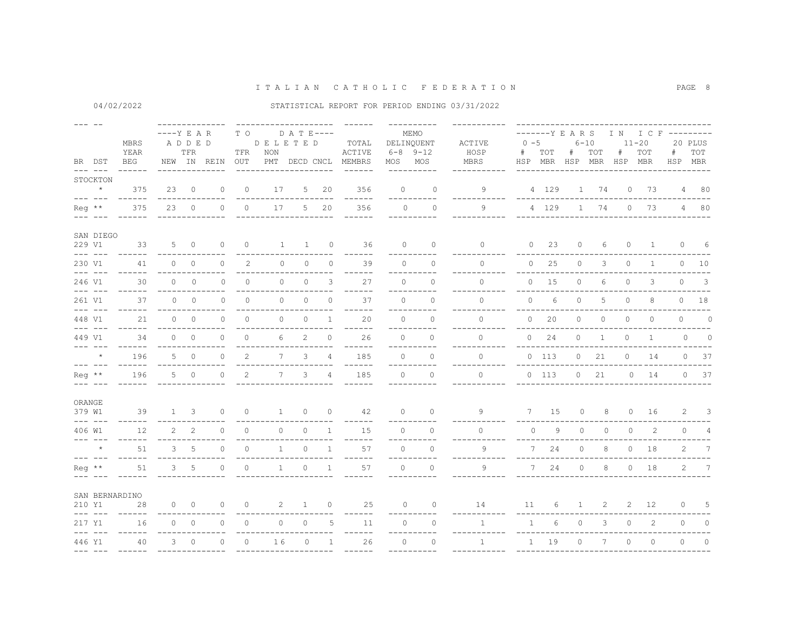04/02/2022

| $\frac{1}{2} \left( \frac{1}{2} \right) \left( \frac{1}{2} \right) \left( \frac{1}{2} \right) \left( \frac{1}{2} \right) \left( \frac{1}{2} \right) \left( \frac{1}{2} \right) \left( \frac{1}{2} \right) \left( \frac{1}{2} \right) \left( \frac{1}{2} \right) \left( \frac{1}{2} \right) \left( \frac{1}{2} \right) \left( \frac{1}{2} \right) \left( \frac{1}{2} \right) \left( \frac{1}{2} \right) \left( \frac{1}{2} \right) \left( \frac{1}{2} \right) \left( \frac$ | BR DST                                                                                                                                                                                                                                                                                                                                                                                       | <b>MBRS</b><br>YEAR<br>BEG | $---Y$ E A R   | ADDED<br>TFR   | NEW IN REIN  | T O<br>TFR<br>OUT | DELETED<br>NON<br>PMT | $D$ A T E ----<br>DECD CNCL |                | TOTAL<br>ACTIVE<br>MEMBRS     |               | MEMO<br>DELINQUENT<br>$6 - 8$ $9 - 12$<br>MOS MOS<br>---------- | ACTIVE<br>HOSP<br>MBRS      | $0 - 5$<br>#<br>HSP | -------Y E A R S<br>TOT<br>MBR HSP | #            | $6 - 10$<br>TOT<br>MBR | #<br>HSP | IN ICF ---------<br>$11 - 20$<br>TOT<br>MBR | #              | 20 PLUS<br>TOT<br>HSP MBR |
|----------------------------------------------------------------------------------------------------------------------------------------------------------------------------------------------------------------------------------------------------------------------------------------------------------------------------------------------------------------------------------------------------------------------------------------------------------------------------|----------------------------------------------------------------------------------------------------------------------------------------------------------------------------------------------------------------------------------------------------------------------------------------------------------------------------------------------------------------------------------------------|----------------------------|----------------|----------------|--------------|-------------------|-----------------------|-----------------------------|----------------|-------------------------------|---------------|-----------------------------------------------------------------|-----------------------------|---------------------|------------------------------------|--------------|------------------------|----------|---------------------------------------------|----------------|---------------------------|
|                                                                                                                                                                                                                                                                                                                                                                                                                                                                            | STOCKTON<br>$\star$                                                                                                                                                                                                                                                                                                                                                                          | 375                        |                | 230            | $\mathbf{0}$ | $\circ$           | 17                    | $5 -$                       | 20             | 356                           | $\Omega$      | $\Omega$                                                        | 9                           |                     | 4 129                              |              | 1 74                   | $\circ$  | 73                                          |                | 4 80                      |
|                                                                                                                                                                                                                                                                                                                                                                                                                                                                            | $\frac{1}{2} \frac{1}{2} \frac{1}{2} \frac{1}{2} \frac{1}{2} \frac{1}{2} \frac{1}{2} \frac{1}{2} \frac{1}{2} \frac{1}{2} \frac{1}{2} \frac{1}{2} \frac{1}{2} \frac{1}{2} \frac{1}{2} \frac{1}{2} \frac{1}{2} \frac{1}{2} \frac{1}{2} \frac{1}{2} \frac{1}{2} \frac{1}{2} \frac{1}{2} \frac{1}{2} \frac{1}{2} \frac{1}{2} \frac{1}{2} \frac{1}{2} \frac{1}{2} \frac{1}{2} \frac{1}{2} \frac{$ | $- - - - - -$              |                |                |              |                   |                       |                             |                | ------                        | $- - - - - -$ | $- -$                                                           |                             |                     |                                    |              |                        |          |                                             |                |                           |
| $\text{Re}q$ **                                                                                                                                                                                                                                                                                                                                                                                                                                                            |                                                                                                                                                                                                                                                                                                                                                                                              | 375                        |                | $23 \qquad 0$  | $\Omega$     | $\Omega$          | 17                    |                             | 5 20           | 356                           | $\Omega$      | $\Omega$                                                        | 9                           |                     | 4 129                              |              | 1 74                   |          | $0$ 73                                      |                | 4 80                      |
| 229 V1                                                                                                                                                                                                                                                                                                                                                                                                                                                                     | SAN DIEGO                                                                                                                                                                                                                                                                                                                                                                                    | 33                         |                | $5 \qquad 0$   | $\Omega$     | $\circ$           | $\mathbf{1}$          | $\mathbf{1}$                | $\overline{0}$ | 36                            | $\Omega$      | $\Omega$                                                        | $\Omega$                    |                     | $0\ 23$                            | $\circ$      | 6                      | $\circ$  | $\mathbf{1}$                                | $\circ$        | $6\overline{6}$           |
| 230 V1                                                                                                                                                                                                                                                                                                                                                                                                                                                                     |                                                                                                                                                                                                                                                                                                                                                                                              | $\frac{1}{2}$<br>41        | $\Omega$       | $\overline{0}$ | $\Omega$     | 2                 | $\circ$               | $\circ$                     | $\circ$        | 39                            | $\Omega$      | ----------<br>$\Omega$                                          | $\Omega$                    |                     | 0<br>25                            | $\circ$      | 3                      | $\circ$  | $\mathbf{1}$                                |                | $0\qquad 10$              |
| 246 V1                                                                                                                                                                                                                                                                                                                                                                                                                                                                     | $\frac{1}{2}$                                                                                                                                                                                                                                                                                                                                                                                | $\frac{1}{2}$<br>30        | 0              | $\circ$        | $\circ$      | $\circ$           | $\circ$               | $\circ$                     | 3              | $- - -$<br>27                 | $\circ$       | $\circ$                                                         | $\circ$                     |                     | $0$ 15                             | $\circ$      | 6                      | $\circ$  | 3                                           | $\circ$        | $\overline{\phantom{a}}$  |
| 261 V1                                                                                                                                                                                                                                                                                                                                                                                                                                                                     | $\frac{1}{2} \frac{1}{2} \frac{1}{2} \frac{1}{2} \frac{1}{2} \frac{1}{2} \frac{1}{2} \frac{1}{2} \frac{1}{2} \frac{1}{2} \frac{1}{2} \frac{1}{2} \frac{1}{2} \frac{1}{2} \frac{1}{2} \frac{1}{2} \frac{1}{2} \frac{1}{2} \frac{1}{2} \frac{1}{2} \frac{1}{2} \frac{1}{2} \frac{1}{2} \frac{1}{2} \frac{1}{2} \frac{1}{2} \frac{1}{2} \frac{1}{2} \frac{1}{2} \frac{1}{2} \frac{1}{2} \frac{$ | $- - - - - -$<br>37        | $\circ$        | $\circ$        | $\Omega$     | $\circ$           | $\circ$               | $\circ$                     | $\circ$        | $---$<br>37                   | $\Omega$      | ----------<br>$\Omega$                                          | ----------<br>$\Omega$      | $\circ$             | 6                                  | $\circ$      | 5                      | $\circ$  | 8                                           |                | $0$ 18                    |
| 448 V1                                                                                                                                                                                                                                                                                                                                                                                                                                                                     | $\begin{array}{cccccc} - & - & - & - & - \\ & - & - & - & - \end{array}$                                                                                                                                                                                                                                                                                                                     | 21                         | $\circ$        | $\circ$        | $\circ$      | $\circ$           | $\circ$               | $\mathbf{0}$                | $\mathbf{1}$   | $- - -$<br>20                 | $\Omega$      | -----------<br>$\circ$                                          | $\Omega$                    | $\circ$             | 20                                 | $\circ$      | $\circ$                | $\circ$  | $\circ$                                     | $\circ$        | $\circ$                   |
| 449 V1                                                                                                                                                                                                                                                                                                                                                                                                                                                                     | $\begin{array}{cccccc} - & - & - & - & - \end{array}$                                                                                                                                                                                                                                                                                                                                        | $- - - - - -$<br>34        | $\Omega$       | $\overline{0}$ | $\circ$      | $\circ$           | 6                     | 2                           | $\mathbf 0$    | ------<br>26                  | $\Omega$      | ----------<br>$\Omega$                                          | $\Omega$                    |                     | $0$ 24                             | $\circ$      | $\mathbf{1}$           | $\circ$  | $\mathbf{1}$                                |                | .<br>$\circ$<br>$\circ$   |
|                                                                                                                                                                                                                                                                                                                                                                                                                                                                            | $\star$                                                                                                                                                                                                                                                                                                                                                                                      | $- - - - - -$<br>196       |                | $5 \qquad 0$   | $\Omega$     | 2                 | $7^{\circ}$           | 3                           | $\overline{4}$ | ------<br>185                 | $\Omega$      | ----------<br>$\Omega$                                          | ----------<br>$\Omega$      |                     | $0\quad 113$                       | $\circ$      | 21                     | $\circ$  | 14                                          |                | $0\ 37$                   |
| Reg **                                                                                                                                                                                                                                                                                                                                                                                                                                                                     | $\frac{1}{2}$                                                                                                                                                                                                                                                                                                                                                                                | ------<br>196              |                | $5 \qquad 0$   | $\circ$      | $\overline{2}$    | $7^{\circ}$           | 3                           | $\overline{4}$ | -----<br>185<br>$- - - - - -$ | $\circ$       | $\circ$<br>----------                                           | $\circ$                     |                     | $0$ 113                            |              | $0$ 21                 |          | $0$ 14                                      |                | $0\quad 37$               |
| ORANGE<br>379 W1                                                                                                                                                                                                                                                                                                                                                                                                                                                           |                                                                                                                                                                                                                                                                                                                                                                                              | 39                         |                | $1 \quad 3$    | $\circ$      | $\circ$           | $\mathbf{1}$          | $\circ$                     | $\circ$        | 42                            | $\Omega$      | $\Omega$<br>__________                                          | 9                           | 7 15                |                                    | $\circ$      | 8                      |          | $\circ$<br>16                               |                | $2 \quad 3$               |
| 406 W1                                                                                                                                                                                                                                                                                                                                                                                                                                                                     | $\begin{array}{cccccc} - & - & - & - & - \end{array}$                                                                                                                                                                                                                                                                                                                                        | ------<br>12               | $\overline{2}$ | 2              | $\circ$      | $\circ$           | $---$<br>$\circ$      | $\circ$                     | $\mathbf{1}$   | ------<br>15                  | $\Omega$      | $\Omega$                                                        | -----------<br>$\Omega$     | $\circ$             | 9                                  | $\circ$      | $\circ$                | $\circ$  | 2                                           | $\circ$        | $\overline{4}$            |
|                                                                                                                                                                                                                                                                                                                                                                                                                                                                            | $\begin{array}{cccccc} - & - & - & - & - \end{array}$<br>$\star$                                                                                                                                                                                                                                                                                                                             | $- - - - - -$<br>51        | 3              | 5              | $\Omega$     | $\circ$           | $\mathbf{1}$          | $\circ$                     | $\overline{1}$ | ------<br>57                  | $\Omega$      | ----------<br>$\Omega$                                          | ---------<br>$\mathsf{Q}$   |                     | 24<br>7                            | $\circ$      | 8                      | $\circ$  | 18                                          | 2              | 7                         |
| Reg **<br>--- --                                                                                                                                                                                                                                                                                                                                                                                                                                                           |                                                                                                                                                                                                                                                                                                                                                                                              | 51                         | $3^{\circ}$    | 5              | $\circ$      | $\circ$           | $\mathbf{1}$          | $\circ$                     | $\mathbf{1}$   | 57                            | $\circ$       | $\circ$                                                         | 9                           |                     | 24<br>7                            | $\circ$      | 8                      |          | $0$ 18                                      | $\overline{2}$ | $\overline{7}$            |
|                                                                                                                                                                                                                                                                                                                                                                                                                                                                            |                                                                                                                                                                                                                                                                                                                                                                                              | SAN BERNARDINO             |                |                |              |                   |                       |                             |                |                               |               |                                                                 |                             |                     |                                    |              |                        |          |                                             |                |                           |
| 210 Y1                                                                                                                                                                                                                                                                                                                                                                                                                                                                     | $\frac{1}{2}$                                                                                                                                                                                                                                                                                                                                                                                | 28                         | $\circ$        | $\overline{0}$ | $\circ$      | $\circ$           | 2                     | $\mathbf{1}$                | $\circ$        | 25                            | $\Omega$      | $\circ$<br>----------                                           | 14                          | 11                  | 6                                  | $\mathbf{1}$ | 2                      |          | 2 12                                        | $\circ$        | $5^{\circ}$               |
| 217 Y1                                                                                                                                                                                                                                                                                                                                                                                                                                                                     | $\begin{array}{cccccc} - & - & - & - & - \\ & - & - & - & - \end{array}$                                                                                                                                                                                                                                                                                                                     | 16<br>$- - - - - - -$      | $\Omega$       | $\overline{0}$ | $\circ$      | $\circ$           | $\circ$               | $\circ$                     | 5              | 11<br>$---$                   | $\Omega$      | $\Omega$<br>----------                                          | $\mathbf{1}$<br>----------- | $\mathbf{1}$        | 6                                  | $\circ$      | 3                      | $\circ$  | 2                                           | $\circ$        | $\circ$                   |
| 446 Y1                                                                                                                                                                                                                                                                                                                                                                                                                                                                     |                                                                                                                                                                                                                                                                                                                                                                                              | 40                         | 3              | $\Omega$       | $\Omega$     | $\Omega$          | 16                    | $\circ$                     | $\overline{1}$ | 26                            | $\Omega$      | $\Omega$                                                        | $\mathbf{1}$                |                     | $1 \quad 19$                       | $\Omega$     | 7                      | $\Omega$ | $\Omega$                                    | $\Omega$       | $\Omega$                  |